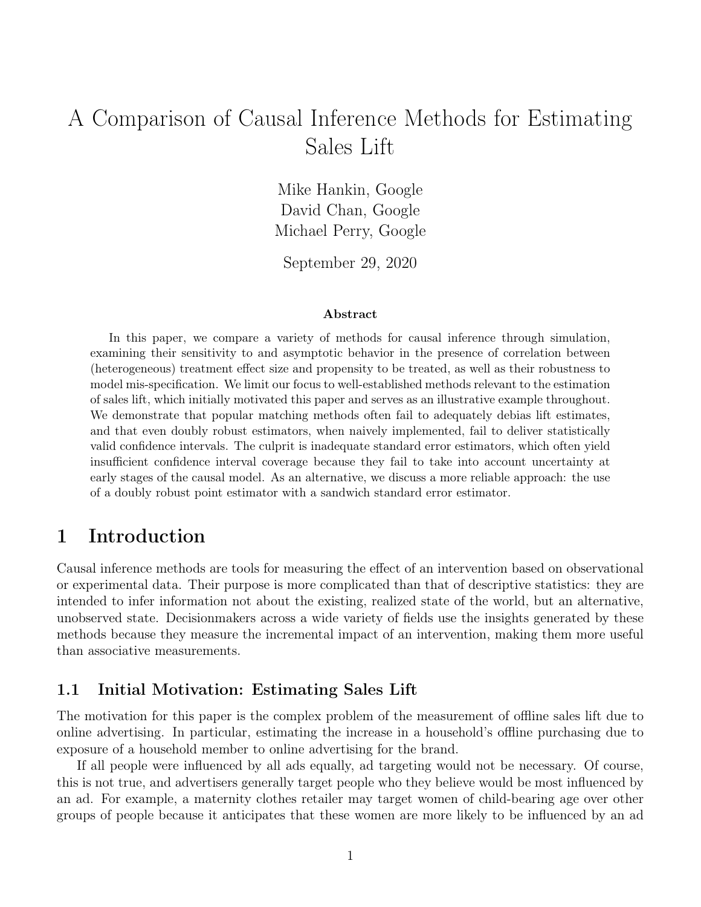# A Comparison of Causal Inference Methods for Estimating Sales Lift

Mike Hankin, Google David Chan, Google Michael Perry, Google

September 29, 2020

#### Abstract

In this paper, we compare a variety of methods for causal inference through simulation, examining their sensitivity to and asymptotic behavior in the presence of correlation between (heterogeneous) treatment effect size and propensity to be treated, as well as their robustness to model mis-specification. We limit our focus to well-established methods relevant to the estimation of sales lift, which initially motivated this paper and serves as an illustrative example throughout. We demonstrate that popular matching methods often fail to adequately debias lift estimates, and that even doubly robust estimators, when naively implemented, fail to deliver statistically valid confidence intervals. The culprit is inadequate standard error estimators, which often yield insufficient confidence interval coverage because they fail to take into account uncertainty at early stages of the causal model. As an alternative, we discuss a more reliable approach: the use of a doubly robust point estimator with a sandwich standard error estimator.

### 1 Introduction

Causal inference methods are tools for measuring the effect of an intervention based on observational or experimental data. Their purpose is more complicated than that of descriptive statistics: they are intended to infer information not about the existing, realized state of the world, but an alternative, unobserved state. Decisionmakers across a wide variety of fields use the insights generated by these methods because they measure the incremental impact of an intervention, making them more useful than associative measurements.

### 1.1 Initial Motivation: Estimating Sales Lift

The motivation for this paper is the complex problem of the measurement of offline sales lift due to online advertising. In particular, estimating the increase in a household's offline purchasing due to exposure of a household member to online advertising for the brand.

If all people were influenced by all ads equally, ad targeting would not be necessary. Of course, this is not true, and advertisers generally target people who they believe would be most influenced by an ad. For example, a maternity clothes retailer may target women of child-bearing age over other groups of people because it anticipates that these women are more likely to be influenced by an ad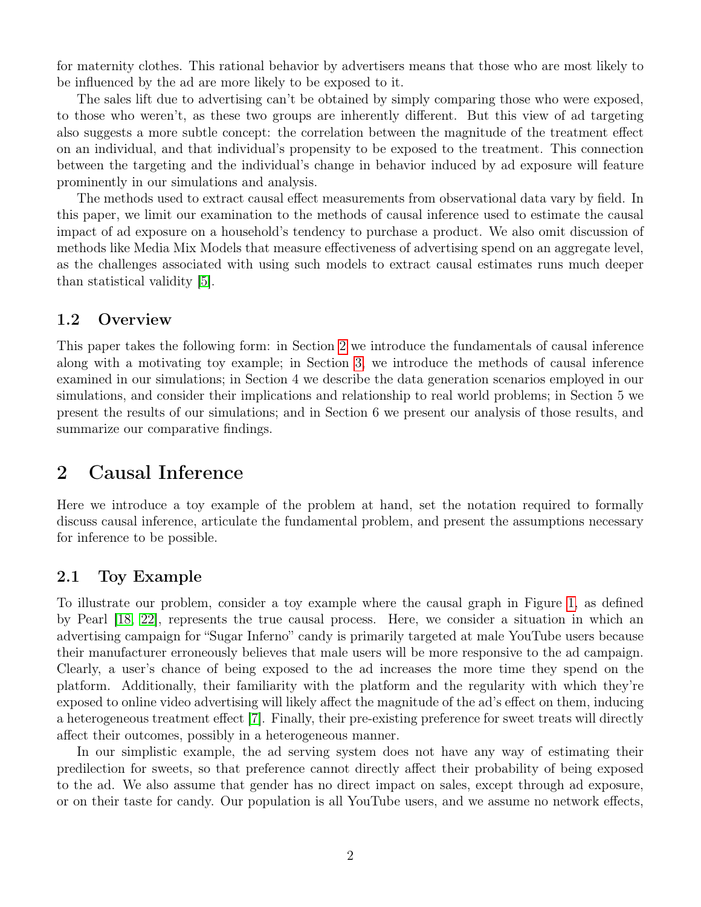for maternity clothes. This rational behavior by advertisers means that those who are most likely to be influenced by the ad are more likely to be exposed to it.

The sales lift due to advertising can't be obtained by simply comparing those who were exposed, to those who weren't, as these two groups are inherently different. But this view of ad targeting also suggests a more subtle concept: the correlation between the magnitude of the treatment effect on an individual, and that individual's propensity to be exposed to the treatment. This connection between the targeting and the individual's change in behavior induced by ad exposure will feature prominently in our simulations and analysis.

The methods used to extract causal effect measurements from observational data vary by field. In this paper, we limit our examination to the methods of causal inference used to estimate the causal impact of ad exposure on a household's tendency to purchase a product. We also omit discussion of methods like Media Mix Models that measure effectiveness of advertising spend on an aggregate level, as the challenges associated with using such models to extract causal estimates runs much deeper than statistical validity [\[5\]](#page-25-0).

### 1.2 Overview

This paper takes the following form: in Section [2](#page-1-0) we introduce the fundamentals of causal inference along with a motivating toy example; in Section [3,](#page-4-0) we introduce the methods of causal inference examined in our simulations; in Section 4 we describe the data generation scenarios employed in our simulations, and consider their implications and relationship to real world problems; in Section 5 we present the results of our simulations; and in Section 6 we present our analysis of those results, and summarize our comparative findings.

### <span id="page-1-0"></span>2 Causal Inference

Here we introduce a toy example of the problem at hand, set the notation required to formally discuss causal inference, articulate the fundamental problem, and present the assumptions necessary for inference to be possible.

### 2.1 Toy Example

To illustrate our problem, consider a toy example where the causal graph in Figure [1,](#page-2-0) as defined by Pearl [\[18,](#page-25-1) [22\]](#page-26-0), represents the true causal process. Here, we consider a situation in which an advertising campaign for "Sugar Inferno" candy is primarily targeted at male YouTube users because their manufacturer erroneously believes that male users will be more responsive to the ad campaign. Clearly, a user's chance of being exposed to the ad increases the more time they spend on the platform. Additionally, their familiarity with the platform and the regularity with which they're exposed to online video advertising will likely affect the magnitude of the ad's effect on them, inducing a heterogeneous treatment effect [\[7\]](#page-25-2). Finally, their pre-existing preference for sweet treats will directly affect their outcomes, possibly in a heterogeneous manner.

In our simplistic example, the ad serving system does not have any way of estimating their predilection for sweets, so that preference cannot directly affect their probability of being exposed to the ad. We also assume that gender has no direct impact on sales, except through ad exposure, or on their taste for candy. Our population is all YouTube users, and we assume no network effects,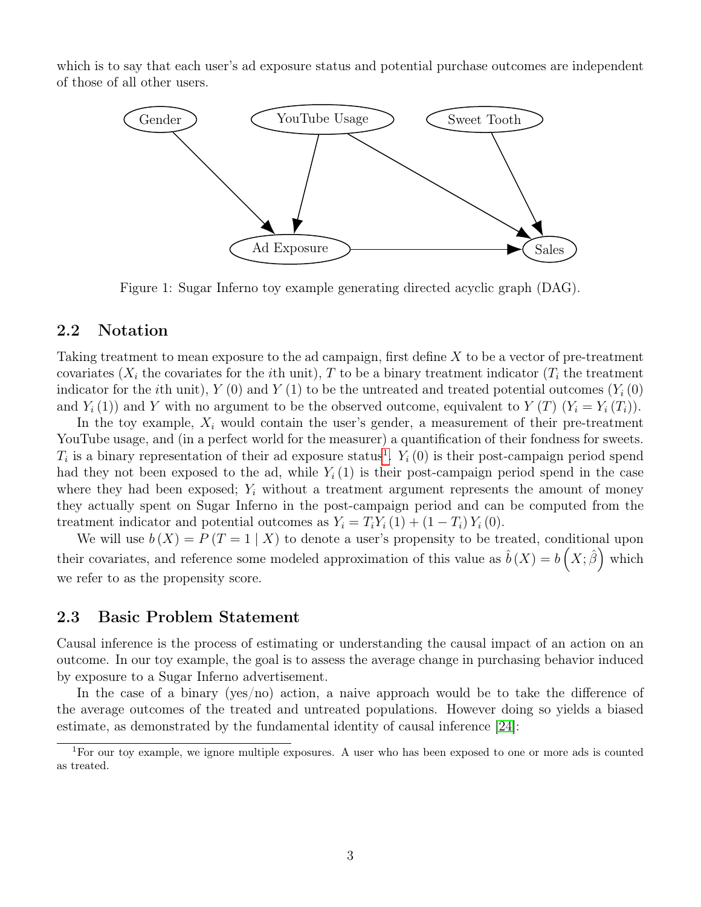which is to say that each user's ad exposure status and potential purchase outcomes are independent of those of all other users.



<span id="page-2-0"></span>Figure 1: Sugar Inferno toy example generating directed acyclic graph (DAG).

### 2.2 Notation

Taking treatment to mean exposure to the ad campaign, first define X to be a vector of pre-treatment covariates  $(X_i)$  the covariates for the *i*th unit), T to be a binary treatment indicator  $(T_i)$  the treatment indicator for the *i*th unit),  $Y(0)$  and  $Y(1)$  to be the untreated and treated potential outcomes  $(Y_i(0))$ and  $Y_i(1)$  and Y with no argument to be the observed outcome, equivalent to  $Y(T)$   $(Y_i = Y_i(T_i))$ .

In the toy example,  $X_i$  would contain the user's gender, a measurement of their pre-treatment YouTube usage, and (in a perfect world for the measurer) a quantification of their fondness for sweets.  $T_i$  is a binary representation of their ad exposure status<sup>[1](#page-2-1)</sup>.  $Y_i(0)$  is their post-campaign period spend had they not been exposed to the ad, while  $Y_i(1)$  is their post-campaign period spend in the case where they had been exposed;  $Y_i$  without a treatment argument represents the amount of money they actually spent on Sugar Inferno in the post-campaign period and can be computed from the treatment indicator and potential outcomes as  $Y_i = T_i Y_i (1) + (1 - T_i) Y_i (0)$ .

We will use  $b(X) = P(T = 1 | X)$  to denote a user's propensity to be treated, conditional upon their covariates, and reference some modeled approximation of this value as  $\hat{b}(X) = b(X;\hat{\beta})$  which we refer to as the propensity score.

### 2.3 Basic Problem Statement

Causal inference is the process of estimating or understanding the causal impact of an action on an outcome. In our toy example, the goal is to assess the average change in purchasing behavior induced by exposure to a Sugar Inferno advertisement.

In the case of a binary (yes/no) action, a naive approach would be to take the difference of the average outcomes of the treated and untreated populations. However doing so yields a biased estimate, as demonstrated by the fundamental identity of causal inference [\[24\]](#page-26-1):

<span id="page-2-1"></span><sup>1</sup>For our toy example, we ignore multiple exposures. A user who has been exposed to one or more ads is counted as treated.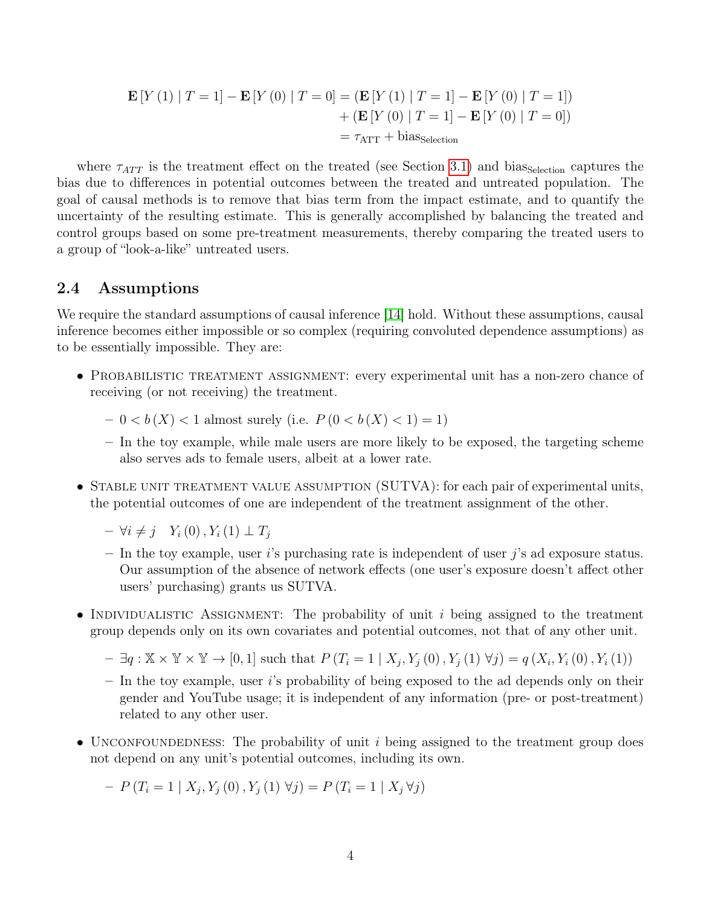$$
\mathbf{E}[Y(1) | T = 1] - \mathbf{E}[Y(0) | T = 0] = (\mathbf{E}[Y(1) | T = 1] - \mathbf{E}[Y(0) | T = 1])
$$

$$
+ (\mathbf{E}[Y(0) | T = 1] - \mathbf{E}[Y(0) | T = 0])
$$

$$
= \tau_{\text{ATT}} + \text{bias}_{\text{selection}}
$$

where  $\tau_{ATT}$  is the treatment effect on the treated (see Section [3.1\)](#page-4-1) and bias Selection captures the bias due to differences in potential outcomes between the treated and untreated population. The goal of causal methods is to remove that bias term from the impact estimate, and to quantify the uncertainty of the resulting estimate. This is generally accomplished by balancing the treated and control groups based on some pre-treatment measurements, thereby comparing the treated users to a group of "look-a-like" untreated users.

#### 2.4 Assumptions

We require the standard assumptions of causal inference [\[14\]](#page-25-3) hold. Without these assumptions, causal inference becomes either impossible or so complex (requiring convoluted dependence assumptions) as to be essentially impossible. They are:

- PROBABILISTIC TREATMENT ASSIGNMENT: every experimental unit has a non-zero chance of receiving (or not receiving) the treatment.
	- $-0 < b(X) < 1$  almost surely (i.e.  $P(0 < b(X) < 1) = 1$ )
	- In the toy example, while male users are more likely to be exposed, the targeting scheme also serves ads to female users, albeit at a lower rate.
- STABLE UNIT TREATMENT VALUE ASSUMPTION (SUTVA): for each pair of experimental units, the potential outcomes of one are independent of the treatment assignment of the other.
	- $\forall i \neq j \quad Y_i(0), Y_i(1) \perp T_j$
	- In the toy example, user i's purchasing rate is independent of user j's ad exposure status. Our assumption of the absence of network effects (one user's exposure doesn't affect other users' purchasing) grants us SUTVA.
- INDIVIDUALISTIC ASSIGNMENT: The probability of unit i being assigned to the treatment group depends only on its own covariates and potential outcomes, not that of any other unit.
	- $\exists q : \mathbb{X} \times \mathbb{Y} \times \mathbb{Y} \to [0,1]$  such that  $P(T_i = 1 | X_j, Y_j(0), Y_j(1) \forall j) = q(X_i, Y_i(0), Y_i(1))$
	- $-$  In the toy example, user i's probability of being exposed to the ad depends only on their gender and YouTube usage; it is independent of any information (pre- or post-treatment) related to any other user.
- UNCONFOUNDEDNESS: The probability of unit i being assigned to the treatment group does not depend on any unit's potential outcomes, including its own.

 $-P(T_i = 1 | X_j, Y_j(0), Y_j(1) \forall j) = P(T_i = 1 | X_j \forall j)$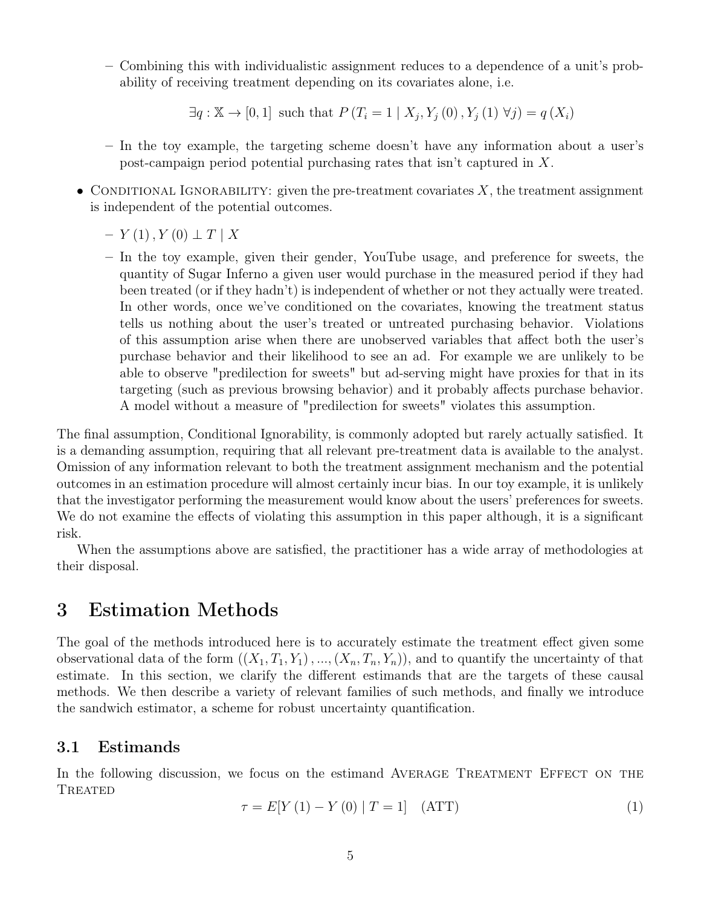– Combining this with individualistic assignment reduces to a dependence of a unit's probability of receiving treatment depending on its covariates alone, i.e.

 $\exists q: \mathbb{X} \to [0,1]$  such that  $P(T_i = 1 | X_j, Y_j(0), Y_j(1) \forall j) = q(X_i)$ 

- In the toy example, the targeting scheme doesn't have any information about a user's post-campaign period potential purchasing rates that isn't captured in X.
- CONDITIONAL IGNORABILITY: given the pre-treatment covariates  $X$ , the treatment assignment is independent of the potential outcomes.
	- $Y(1)$ ,  $Y(0) \perp T \mid X$
	- In the toy example, given their gender, YouTube usage, and preference for sweets, the quantity of Sugar Inferno a given user would purchase in the measured period if they had been treated (or if they hadn't) is independent of whether or not they actually were treated. In other words, once we've conditioned on the covariates, knowing the treatment status tells us nothing about the user's treated or untreated purchasing behavior. Violations of this assumption arise when there are unobserved variables that affect both the user's purchase behavior and their likelihood to see an ad. For example we are unlikely to be able to observe "predilection for sweets" but ad-serving might have proxies for that in its targeting (such as previous browsing behavior) and it probably affects purchase behavior. A model without a measure of "predilection for sweets" violates this assumption.

The final assumption, Conditional Ignorability, is commonly adopted but rarely actually satisfied. It is a demanding assumption, requiring that all relevant pre-treatment data is available to the analyst. Omission of any information relevant to both the treatment assignment mechanism and the potential outcomes in an estimation procedure will almost certainly incur bias. In our toy example, it is unlikely that the investigator performing the measurement would know about the users' preferences for sweets. We do not examine the effects of violating this assumption in this paper although, it is a significant risk.

When the assumptions above are satisfied, the practitioner has a wide array of methodologies at their disposal.

# <span id="page-4-0"></span>3 Estimation Methods

The goal of the methods introduced here is to accurately estimate the treatment effect given some observational data of the form  $((X_1, T_1, Y_1), ..., (X_n, T_n, Y_n))$ , and to quantify the uncertainty of that estimate. In this section, we clarify the different estimands that are the targets of these causal methods. We then describe a variety of relevant families of such methods, and finally we introduce the sandwich estimator, a scheme for robust uncertainty quantification.

### <span id="page-4-1"></span>3.1 Estimands

In the following discussion, we focus on the estimand AVERAGE TREATMENT EFFECT ON THE **TREATED** 

$$
\tau = E[Y(1) - Y(0) | T = 1] \quad (ATT)
$$
\n(1)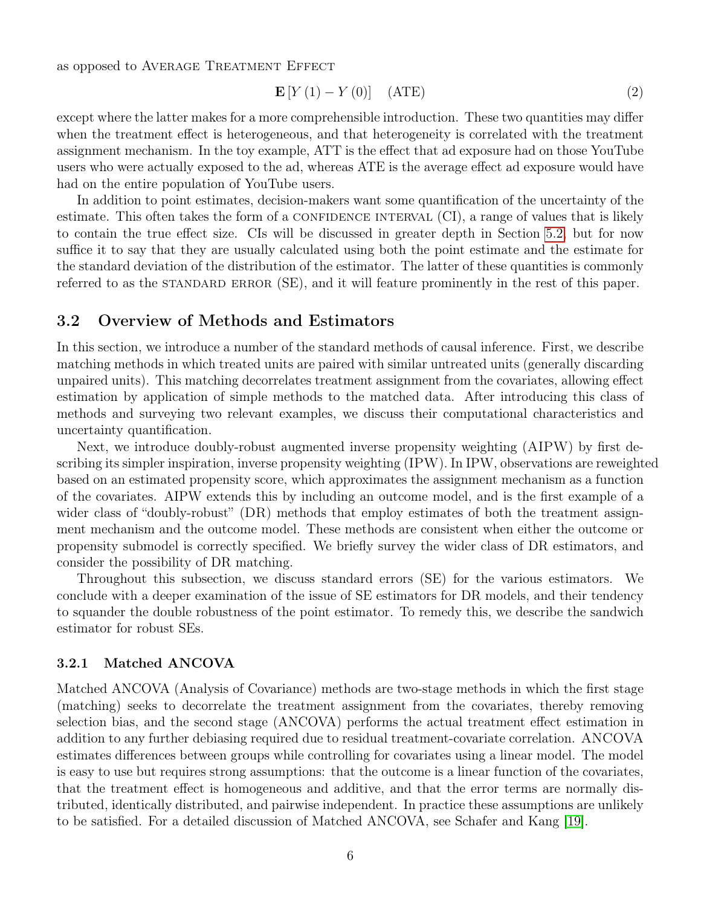as opposed to AVERAGE TREATMENT EFFECT

$$
\mathbf{E}\left[Y\left(1\right) - Y\left(0\right)\right] \quad \text{(ATE)}\tag{2}
$$

except where the latter makes for a more comprehensible introduction. These two quantities may differ when the treatment effect is heterogeneous, and that heterogeneity is correlated with the treatment assignment mechanism. In the toy example, ATT is the effect that ad exposure had on those YouTube users who were actually exposed to the ad, whereas ATE is the average effect ad exposure would have had on the entire population of YouTube users.

In addition to point estimates, decision-makers want some quantification of the uncertainty of the estimate. This often takes the form of a CONFIDENCE INTERVAL  $(CI)$ , a range of values that is likely to contain the true effect size. CIs will be discussed in greater depth in Section [5.2,](#page-14-0) but for now suffice it to say that they are usually calculated using both the point estimate and the estimate for the standard deviation of the distribution of the estimator. The latter of these quantities is commonly referred to as the STANDARD ERROR (SE), and it will feature prominently in the rest of this paper.

### <span id="page-5-0"></span>3.2 Overview of Methods and Estimators

In this section, we introduce a number of the standard methods of causal inference. First, we describe matching methods in which treated units are paired with similar untreated units (generally discarding unpaired units). This matching decorrelates treatment assignment from the covariates, allowing effect estimation by application of simple methods to the matched data. After introducing this class of methods and surveying two relevant examples, we discuss their computational characteristics and uncertainty quantification.

Next, we introduce doubly-robust augmented inverse propensity weighting (AIPW) by first describing its simpler inspiration, inverse propensity weighting (IPW). In IPW, observations are reweighted based on an estimated propensity score, which approximates the assignment mechanism as a function of the covariates. AIPW extends this by including an outcome model, and is the first example of a wider class of "doubly-robust" (DR) methods that employ estimates of both the treatment assignment mechanism and the outcome model. These methods are consistent when either the outcome or propensity submodel is correctly specified. We briefly survey the wider class of DR estimators, and consider the possibility of DR matching.

Throughout this subsection, we discuss standard errors (SE) for the various estimators. We conclude with a deeper examination of the issue of SE estimators for DR models, and their tendency to squander the double robustness of the point estimator. To remedy this, we describe the sandwich estimator for robust SEs.

#### 3.2.1 Matched ANCOVA

Matched ANCOVA (Analysis of Covariance) methods are two-stage methods in which the first stage (matching) seeks to decorrelate the treatment assignment from the covariates, thereby removing selection bias, and the second stage (ANCOVA) performs the actual treatment effect estimation in addition to any further debiasing required due to residual treatment-covariate correlation. ANCOVA estimates differences between groups while controlling for covariates using a linear model. The model is easy to use but requires strong assumptions: that the outcome is a linear function of the covariates, that the treatment effect is homogeneous and additive, and that the error terms are normally distributed, identically distributed, and pairwise independent. In practice these assumptions are unlikely to be satisfied. For a detailed discussion of Matched ANCOVA, see Schafer and Kang [\[19\]](#page-25-4).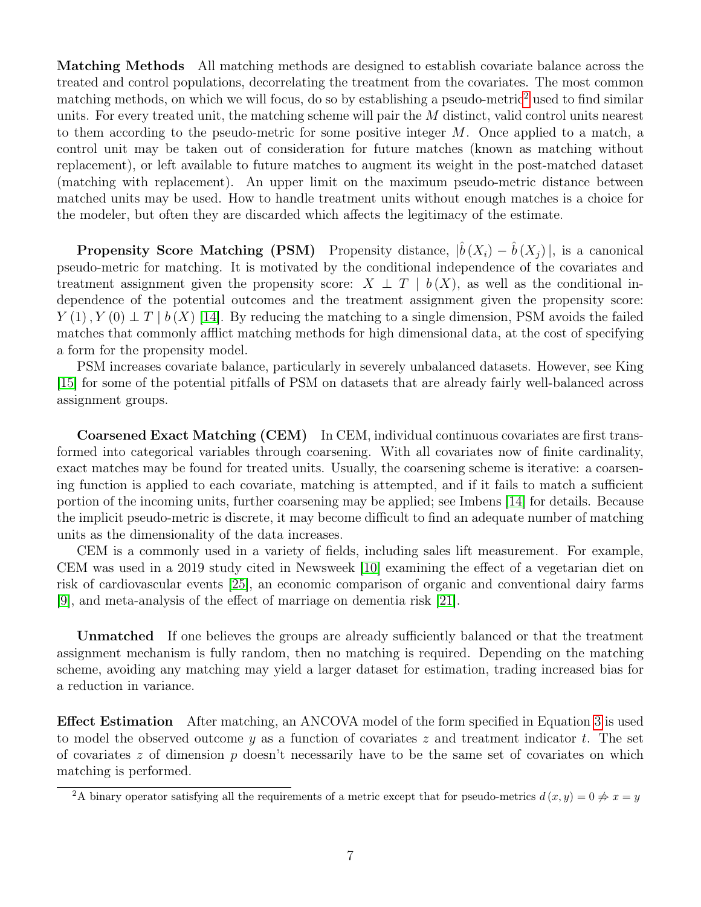Matching Methods All matching methods are designed to establish covariate balance across the treated and control populations, decorrelating the treatment from the covariates. The most common matching methods, on which we will focus, do so by establishing a pseudo-metric<sup>[2](#page-6-0)</sup> used to find similar units. For every treated unit, the matching scheme will pair the M distinct, valid control units nearest to them according to the pseudo-metric for some positive integer  $M$ . Once applied to a match, a control unit may be taken out of consideration for future matches (known as matching without replacement), or left available to future matches to augment its weight in the post-matched dataset (matching with replacement). An upper limit on the maximum pseudo-metric distance between matched units may be used. How to handle treatment units without enough matches is a choice for the modeler, but often they are discarded which affects the legitimacy of the estimate.

**Propensity Score Matching (PSM)** Propensity distance,  $|\hat{b}(X_i) - \hat{b}(X_j)|$ , is a canonical pseudo-metric for matching. It is motivated by the conditional independence of the covariates and treatment assignment given the propensity score:  $X \perp T \mid b(X)$ , as well as the conditional independence of the potential outcomes and the treatment assignment given the propensity score:  $Y(1)$ ,  $Y(0) \perp T \mid b(X)$  [\[14\]](#page-25-3). By reducing the matching to a single dimension, PSM avoids the failed matches that commonly afflict matching methods for high dimensional data, at the cost of specifying a form for the propensity model.

PSM increases covariate balance, particularly in severely unbalanced datasets. However, see King [\[15\]](#page-25-5) for some of the potential pitfalls of PSM on datasets that are already fairly well-balanced across assignment groups.

Coarsened Exact Matching (CEM) In CEM, individual continuous covariates are first transformed into categorical variables through coarsening. With all covariates now of finite cardinality, exact matches may be found for treated units. Usually, the coarsening scheme is iterative: a coarsening function is applied to each covariate, matching is attempted, and if it fails to match a sufficient portion of the incoming units, further coarsening may be applied; see Imbens [\[14\]](#page-25-3) for details. Because the implicit pseudo-metric is discrete, it may become difficult to find an adequate number of matching units as the dimensionality of the data increases.

CEM is a commonly used in a variety of fields, including sales lift measurement. For example, CEM was used in a 2019 study cited in Newsweek [\[10\]](#page-25-6) examining the effect of a vegetarian diet on risk of cardiovascular events [\[25\]](#page-26-2), an economic comparison of organic and conventional dairy farms [\[9\]](#page-25-7), and meta-analysis of the effect of marriage on dementia risk [\[21\]](#page-26-3).

Unmatched If one believes the groups are already sufficiently balanced or that the treatment assignment mechanism is fully random, then no matching is required. Depending on the matching scheme, avoiding any matching may yield a larger dataset for estimation, trading increased bias for a reduction in variance.

Effect Estimation After matching, an ANCOVA model of the form specified in Equation [3](#page-7-0) is used to model the observed outcome y as a function of covariates z and treatment indicator t. The set of covariates z of dimension  $p$  doesn't necessarily have to be the same set of covariates on which matching is performed.

<span id="page-6-0"></span><sup>&</sup>lt;sup>2</sup>A binary operator satisfying all the requirements of a metric except that for pseudo-metrics  $d(x, y) = 0 \neq x = y$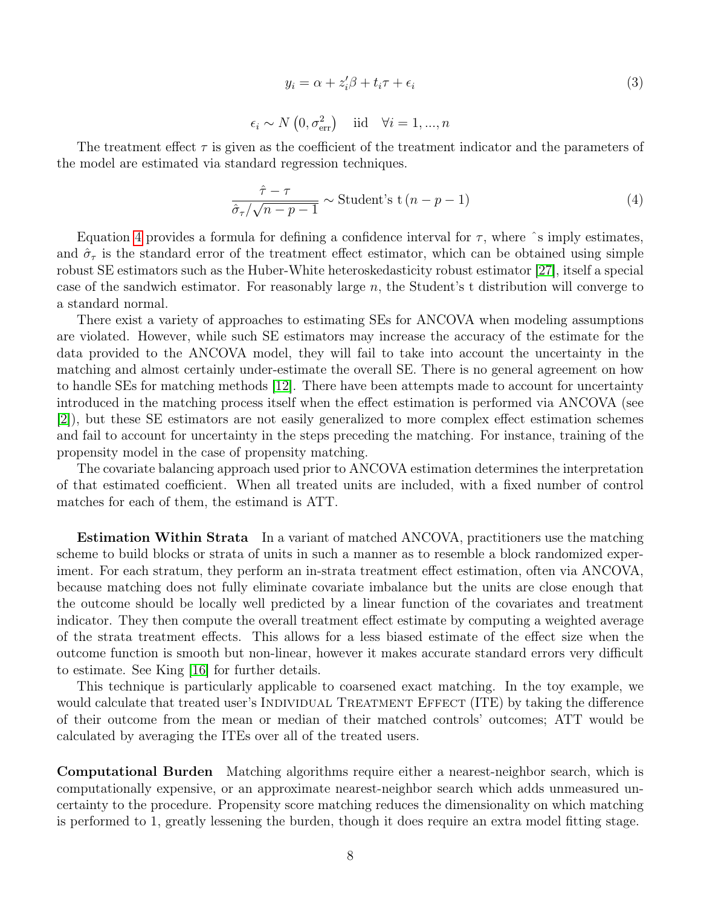<span id="page-7-0"></span>
$$
y_i = \alpha + z_i'\beta + t_i\tau + \epsilon_i
$$
  
\n
$$
\sim N(0, \sigma_{\text{err}}^2) \quad \text{iid} \quad \forall i = 1, ..., n
$$
\n(3)

The treatment effect  $\tau$  is given as the coefficient of the treatment indicator and the parameters of the model are estimated via standard regression techniques.

 $\epsilon_i$ 

<span id="page-7-1"></span>
$$
\frac{\hat{\tau} - \tau}{\hat{\sigma}_{\tau}/\sqrt{n - p - 1}} \sim \text{Student's } t (n - p - 1)
$$
\n(4)

Equation [4](#page-7-1) provides a formula for defining a confidence interval for  $\tau$ , where  $\hat{\ }$ s imply estimates, and  $\hat{\sigma}_{\tau}$  is the standard error of the treatment effect estimator, which can be obtained using simple robust SE estimators such as the Huber-White heteroskedasticity robust estimator [\[27\]](#page-26-4), itself a special case of the sandwich estimator. For reasonably large  $n$ , the Student's t distribution will converge to a standard normal.

There exist a variety of approaches to estimating SEs for ANCOVA when modeling assumptions are violated. However, while such SE estimators may increase the accuracy of the estimate for the data provided to the ANCOVA model, they will fail to take into account the uncertainty in the matching and almost certainly under-estimate the overall SE. There is no general agreement on how to handle SEs for matching methods [\[12\]](#page-25-8). There have been attempts made to account for uncertainty introduced in the matching process itself when the effect estimation is performed via ANCOVA (see [\[2\]](#page-24-0)), but these SE estimators are not easily generalized to more complex effect estimation schemes and fail to account for uncertainty in the steps preceding the matching. For instance, training of the propensity model in the case of propensity matching.

The covariate balancing approach used prior to ANCOVA estimation determines the interpretation of that estimated coefficient. When all treated units are included, with a fixed number of control matches for each of them, the estimand is ATT.

Estimation Within Strata In a variant of matched ANCOVA, practitioners use the matching scheme to build blocks or strata of units in such a manner as to resemble a block randomized experiment. For each stratum, they perform an in-strata treatment effect estimation, often via ANCOVA, because matching does not fully eliminate covariate imbalance but the units are close enough that the outcome should be locally well predicted by a linear function of the covariates and treatment indicator. They then compute the overall treatment effect estimate by computing a weighted average of the strata treatment effects. This allows for a less biased estimate of the effect size when the outcome function is smooth but non-linear, however it makes accurate standard errors very difficult to estimate. See King [\[16\]](#page-25-9) for further details.

This technique is particularly applicable to coarsened exact matching. In the toy example, we would calculate that treated user's INDIVIDUAL TREATMENT EFFECT (ITE) by taking the difference of their outcome from the mean or median of their matched controls' outcomes; ATT would be calculated by averaging the ITEs over all of the treated users.

Computational Burden Matching algorithms require either a nearest-neighbor search, which is computationally expensive, or an approximate nearest-neighbor search which adds unmeasured uncertainty to the procedure. Propensity score matching reduces the dimensionality on which matching is performed to 1, greatly lessening the burden, though it does require an extra model fitting stage.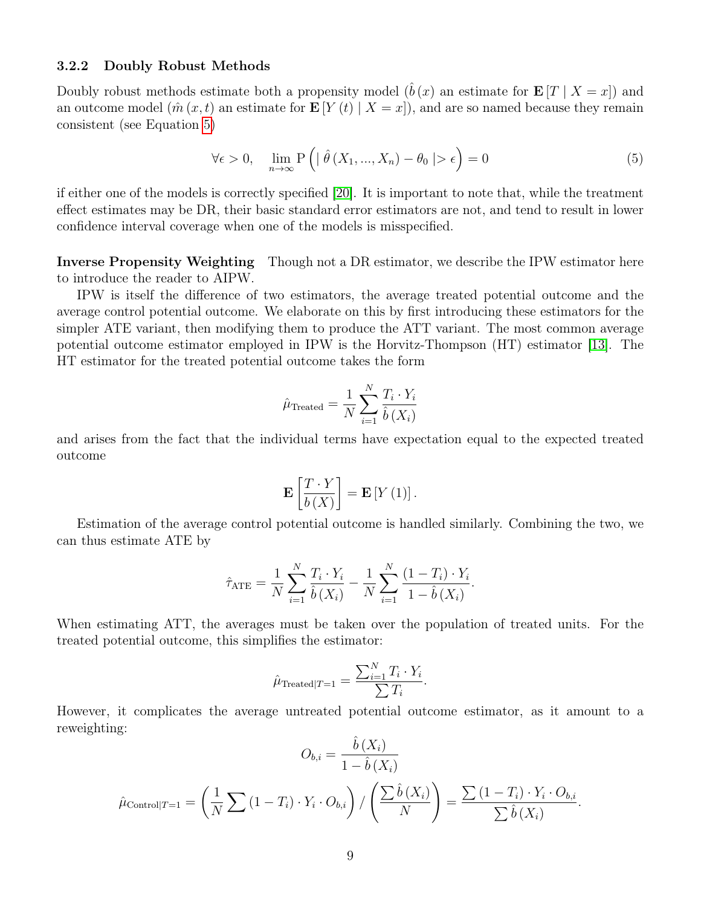#### 3.2.2 Doubly Robust Methods

Doubly robust methods estimate both a propensity model  $(\hat{b}(x))$  an estimate for  $\mathbf{E}[T | X = x]$  and an outcome model  $(\hat{m}(x,t)$  an estimate for  $\mathbf{E}[Y(t) | X = x]$ , and are so named because they remain consistent (see Equation [5\)](#page-8-0)

<span id="page-8-0"></span>
$$
\forall \epsilon > 0, \quad \lim_{n \to \infty} P\left( \mid \hat{\theta}\left(X_1, \dots, X_n\right) - \theta_0 \mid > \epsilon \right) = 0 \tag{5}
$$

if either one of the models is correctly specified [\[20\]](#page-25-10). It is important to note that, while the treatment effect estimates may be DR, their basic standard error estimators are not, and tend to result in lower confidence interval coverage when one of the models is misspecified.

Inverse Propensity Weighting Though not a DR estimator, we describe the IPW estimator here to introduce the reader to AIPW.

IPW is itself the difference of two estimators, the average treated potential outcome and the average control potential outcome. We elaborate on this by first introducing these estimators for the simpler ATE variant, then modifying them to produce the ATT variant. The most common average potential outcome estimator employed in IPW is the Horvitz-Thompson (HT) estimator [\[13\]](#page-25-11). The HT estimator for the treated potential outcome takes the form

$$
\hat{\mu}_{\text{Treated}} = \frac{1}{N} \sum_{i=1}^{N} \frac{T_i \cdot Y_i}{\hat{b}(X_i)}
$$

and arises from the fact that the individual terms have expectation equal to the expected treated outcome

$$
\mathbf{E}\left[\frac{T\cdot Y}{b\left(X\right)}\right] = \mathbf{E}\left[Y\left(1\right)\right].
$$

Estimation of the average control potential outcome is handled similarly. Combining the two, we can thus estimate ATE by

$$
\hat{\tau}_{\text{ATE}} = \frac{1}{N} \sum_{i=1}^{N} \frac{T_i \cdot Y_i}{\hat{b}(X_i)} - \frac{1}{N} \sum_{i=1}^{N} \frac{(1 - T_i) \cdot Y_i}{1 - \hat{b}(X_i)}.
$$

When estimating ATT, the averages must be taken over the population of treated units. For the treated potential outcome, this simplifies the estimator:

$$
\hat{\mu}_{\text{Treated}|T=1} = \frac{\sum_{i=1}^{N} T_i \cdot Y_i}{\sum T_i}.
$$

However, it complicates the average untreated potential outcome estimator, as it amount to a reweighting:  $\hat{i}$  ( $\hat{i}$ )

$$
O_{b,i} = \frac{b(X_i)}{1 - \hat{b}(X_i)}
$$

$$
\hat{\mu}_{\text{Control}|T=1} = \left(\frac{1}{N} \sum (1 - T_i) \cdot Y_i \cdot O_{b,i}\right) / \left(\frac{\sum \hat{b}(X_i)}{N}\right) = \frac{\sum (1 - T_i) \cdot Y_i \cdot O_{b,i}}{\sum \hat{b}(X_i)}.
$$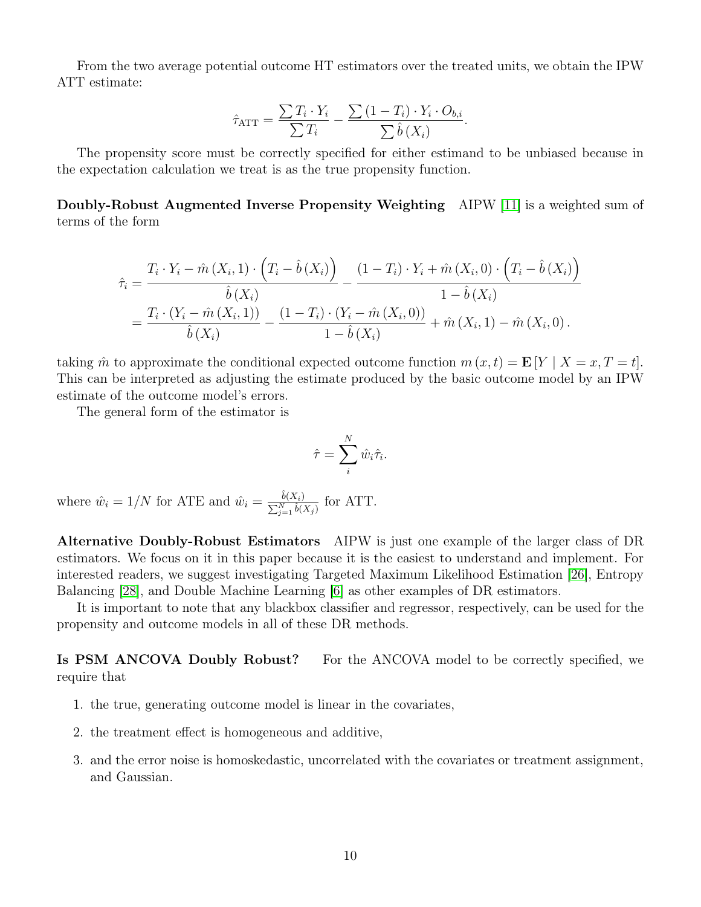From the two average potential outcome HT estimators over the treated units, we obtain the IPW ATT estimate:

$$
\hat{\tau}_{\text{ATT}} = \frac{\sum T_i \cdot Y_i}{\sum T_i} - \frac{\sum (1 - T_i) \cdot Y_i \cdot O_{b,i}}{\sum \hat{b}(X_i)}.
$$

The propensity score must be correctly specified for either estimand to be unbiased because in the expectation calculation we treat is as the true propensity function.

Doubly-Robust Augmented Inverse Propensity Weighting AIPW [\[11\]](#page-25-12) is a weighted sum of terms of the form

$$
\hat{\tau}_{i} = \frac{T_{i} \cdot Y_{i} - \hat{m}(X_{i}, 1) \cdot (T_{i} - \hat{b}(X_{i}))}{\hat{b}(X_{i})} - \frac{(1 - T_{i}) \cdot Y_{i} + \hat{m}(X_{i}, 0) \cdot (T_{i} - \hat{b}(X_{i}))}{1 - \hat{b}(X_{i})}
$$
\n
$$
= \frac{T_{i} \cdot (Y_{i} - \hat{m}(X_{i}, 1))}{\hat{b}(X_{i})} - \frac{(1 - T_{i}) \cdot (Y_{i} - \hat{m}(X_{i}, 0))}{1 - \hat{b}(X_{i})} + \hat{m}(X_{i}, 1) - \hat{m}(X_{i}, 0).
$$

taking  $\hat{m}$  to approximate the conditional expected outcome function  $m(x, t) = \mathbf{E}[Y | X = x, T = t].$ This can be interpreted as adjusting the estimate produced by the basic outcome model by an IPW estimate of the outcome model's errors.

The general form of the estimator is

$$
\hat{\tau} = \sum_{i}^{N} \hat{w}_i \hat{\tau}_i.
$$

where  $\hat{w}_i = 1/N$  for ATE and  $\hat{w}_i = \frac{\hat{b}(X_i)}{\sum_{i=1}^{N} k(i)}$  $\frac{b(X_i)}{\sum_{j=1}^N \hat{b}(X_j)}$  for ATT.

Alternative Doubly-Robust Estimators AIPW is just one example of the larger class of DR estimators. We focus on it in this paper because it is the easiest to understand and implement. For interested readers, we suggest investigating Targeted Maximum Likelihood Estimation [\[26\]](#page-26-5), Entropy Balancing [\[28\]](#page-26-6), and Double Machine Learning [\[6\]](#page-25-13) as other examples of DR estimators.

It is important to note that any blackbox classifier and regressor, respectively, can be used for the propensity and outcome models in all of these DR methods.

Is PSM ANCOVA Doubly Robust? For the ANCOVA model to be correctly specified, we require that

- 1. the true, generating outcome model is linear in the covariates,
- 2. the treatment effect is homogeneous and additive,
- 3. and the error noise is homoskedastic, uncorrelated with the covariates or treatment assignment, and Gaussian.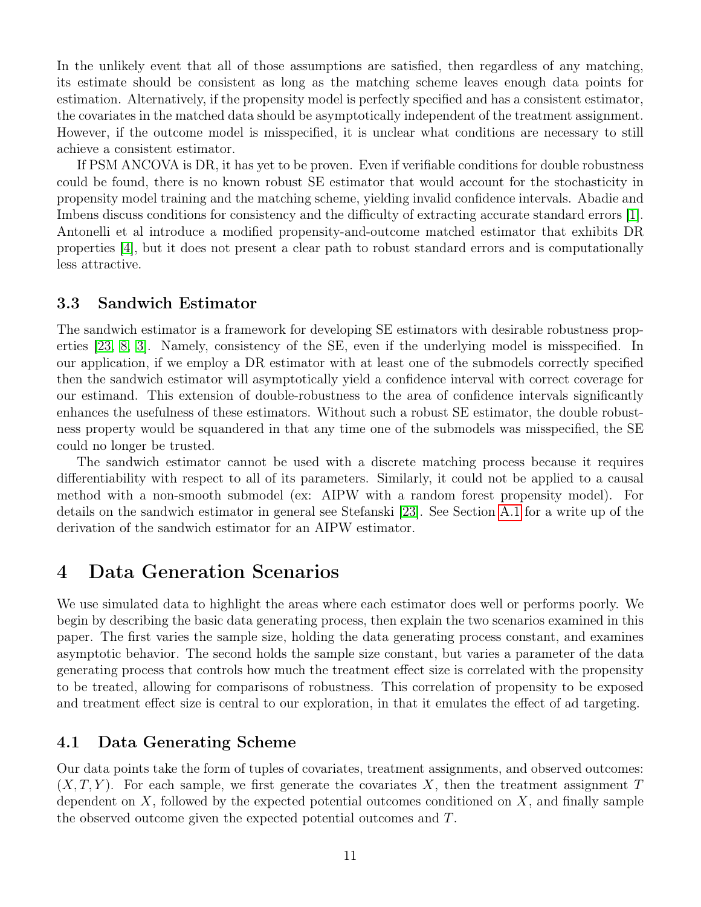In the unlikely event that all of those assumptions are satisfied, then regardless of any matching, its estimate should be consistent as long as the matching scheme leaves enough data points for estimation. Alternatively, if the propensity model is perfectly specified and has a consistent estimator, the covariates in the matched data should be asymptotically independent of the treatment assignment. However, if the outcome model is misspecified, it is unclear what conditions are necessary to still achieve a consistent estimator.

If PSM ANCOVA is DR, it has yet to be proven. Even if verifiable conditions for double robustness could be found, there is no known robust SE estimator that would account for the stochasticity in propensity model training and the matching scheme, yielding invalid confidence intervals. Abadie and Imbens discuss conditions for consistency and the difficulty of extracting accurate standard errors [\[1\]](#page-24-1). Antonelli et al introduce a modified propensity-and-outcome matched estimator that exhibits DR properties [\[4\]](#page-25-14), but it does not present a clear path to robust standard errors and is computationally less attractive.

### 3.3 Sandwich Estimator

The sandwich estimator is a framework for developing SE estimators with desirable robustness properties [\[23,](#page-26-7) [8,](#page-25-15) [3\]](#page-24-2). Namely, consistency of the SE, even if the underlying model is misspecified. In our application, if we employ a DR estimator with at least one of the submodels correctly specified then the sandwich estimator will asymptotically yield a confidence interval with correct coverage for our estimand. This extension of double-robustness to the area of confidence intervals significantly enhances the usefulness of these estimators. Without such a robust SE estimator, the double robustness property would be squandered in that any time one of the submodels was misspecified, the SE could no longer be trusted.

The sandwich estimator cannot be used with a discrete matching process because it requires differentiability with respect to all of its parameters. Similarly, it could not be applied to a causal method with a non-smooth submodel (ex: AIPW with a random forest propensity model). For details on the sandwich estimator in general see Stefanski [\[23\]](#page-26-7). See Section [A.1](#page-26-8) for a write up of the derivation of the sandwich estimator for an AIPW estimator.

### <span id="page-10-1"></span>4 Data Generation Scenarios

We use simulated data to highlight the areas where each estimator does well or performs poorly. We begin by describing the basic data generating process, then explain the two scenarios examined in this paper. The first varies the sample size, holding the data generating process constant, and examines asymptotic behavior. The second holds the sample size constant, but varies a parameter of the data generating process that controls how much the treatment effect size is correlated with the propensity to be treated, allowing for comparisons of robustness. This correlation of propensity to be exposed and treatment effect size is central to our exploration, in that it emulates the effect of ad targeting.

### <span id="page-10-0"></span>4.1 Data Generating Scheme

Our data points take the form of tuples of covariates, treatment assignments, and observed outcomes:  $(X, T, Y)$ . For each sample, we first generate the covariates X, then the treatment assignment T dependent on  $X$ , followed by the expected potential outcomes conditioned on  $X$ , and finally sample the observed outcome given the expected potential outcomes and T.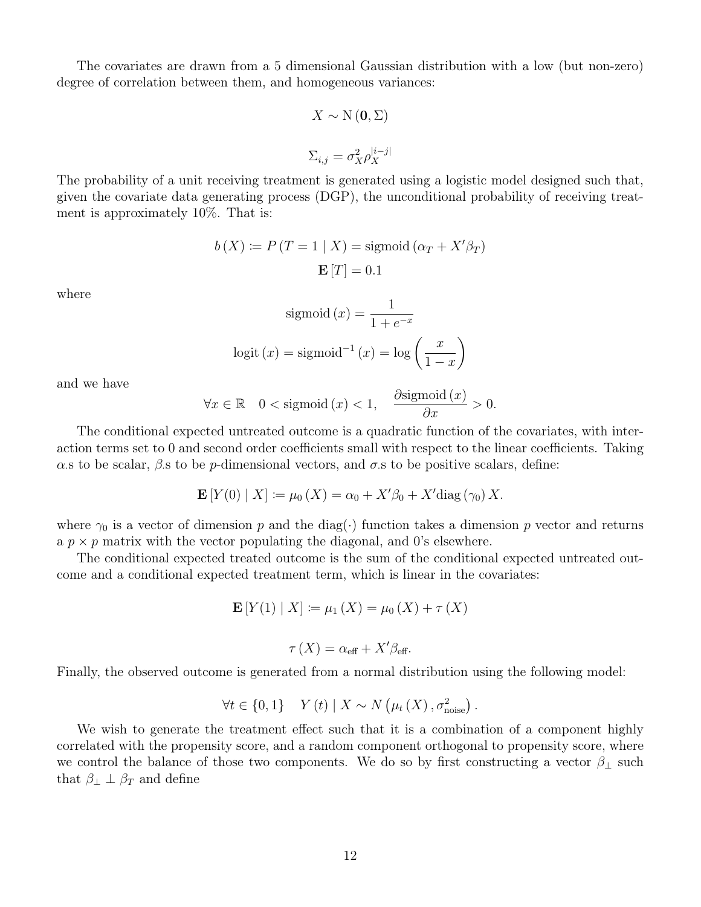The covariates are drawn from a 5 dimensional Gaussian distribution with a low (but non-zero) degree of correlation between them, and homogeneous variances:

$$
X \sim \mathcal{N}(\mathbf{0}, \Sigma)
$$

$$
\Sigma_{i,j} = \sigma_X^2 \rho_X^{|i-j|}
$$

The probability of a unit receiving treatment is generated using a logistic model designed such that, given the covariate data generating process (DGP), the unconditional probability of receiving treatment is approximately 10%. That is:

$$
b(X) := P(T = 1 | X) = \text{sigmoid}(\alpha_T + X'\beta_T)
$$

$$
\mathbf{E}[T] = 0.1
$$

where

$$
sigmoid(x) = \frac{1}{1 + e^{-x}}
$$
  
logit (x) = sigmoid<sup>-1</sup> (x) = log  $\left(\frac{x}{1 - x}\right)$ 

and we have

$$
\forall x \in \mathbb{R} \quad 0 < \text{sigmoid}\,(x) < 1, \quad \frac{\partial \text{sigmoid}\,(x)}{\partial x} > 0.
$$

The conditional expected untreated outcome is a quadratic function of the covariates, with interaction terms set to 0 and second order coefficients small with respect to the linear coefficients. Taking  $\alpha$  s to be scalar,  $\beta$  s to be p-dimensional vectors, and  $\sigma$  s to be positive scalars, define:

$$
\mathbf{E}[Y(0) | X] \coloneqq \mu_0(X) = \alpha_0 + X'\beta_0 + X'\text{diag}(\gamma_0) X.
$$

where  $\gamma_0$  is a vector of dimension p and the diag(·) function takes a dimension p vector and returns a  $p \times p$  matrix with the vector populating the diagonal, and 0's elsewhere.

The conditional expected treated outcome is the sum of the conditional expected untreated outcome and a conditional expected treatment term, which is linear in the covariates:

$$
\mathbf{E}[Y(1) | X] := \mu_1(X) = \mu_0(X) + \tau(X)
$$

$$
\tau(X) = \alpha_{\text{eff}} + X'\beta_{\text{eff}}.
$$

Finally, the observed outcome is generated from a normal distribution using the following model:

$$
\forall t \in \{0, 1\} \quad Y(t) \mid X \sim N\left(\mu_t(X), \sigma_{\text{noise}}^2\right).
$$

We wish to generate the treatment effect such that it is a combination of a component highly correlated with the propensity score, and a random component orthogonal to propensity score, where we control the balance of those two components. We do so by first constructing a vector  $\beta_{\perp}$  such that  $\beta_{\perp} \perp \beta_T$  and define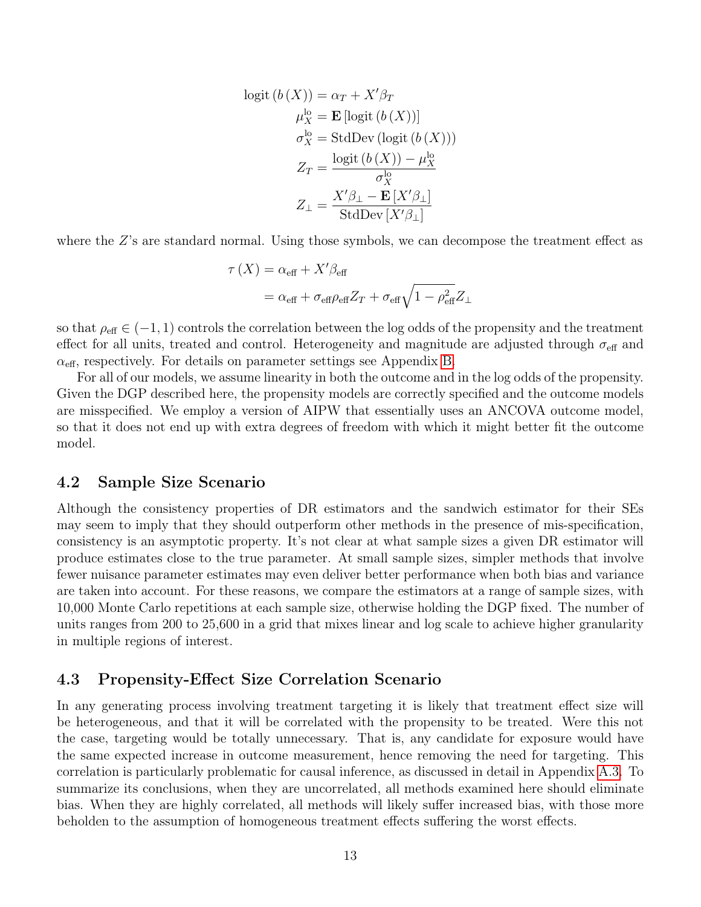logit 
$$
(b(X)) = \alpha_T + X'\beta_T
$$
  
\n $\mu_X^{\text{lo}} = \mathbf{E} [\text{logit } (b(X))]$   
\n $\sigma_X^{\text{lo}} = \text{StdDev } (\text{logit } (b(X)))$   
\n $Z_T = \frac{\text{logit } (b(X)) - \mu_X^{\text{lo}}}{\sigma_X^{\text{lo}}}$   
\n $Z_{\perp} = \frac{X'\beta_{\perp} - \mathbf{E}[X'\beta_{\perp}]}{\text{StdDev } [X'\beta_{\perp}]}$ 

where the Z's are standard normal. Using those symbols, we can decompose the treatment effect as

$$
\tau(X) = \alpha_{\text{eff}} + X'\beta_{\text{eff}}
$$

$$
= \alpha_{\text{eff}} + \sigma_{\text{eff}}\rho_{\text{eff}}Z_T + \sigma_{\text{eff}}\sqrt{1 - \rho_{\text{eff}}^2}Z_{\perp}
$$

so that  $\rho_{\text{eff}} \in (-1, 1)$  controls the correlation between the log odds of the propensity and the treatment effect for all units, treated and control. Heterogeneity and magnitude are adjusted through  $\sigma_{\text{eff}}$  and  $\alpha_{\text{eff}}$ , respectively. For details on parameter settings see Appendix [B.](#page-31-0)

For all of our models, we assume linearity in both the outcome and in the log odds of the propensity. Given the DGP described here, the propensity models are correctly specified and the outcome models are misspecified. We employ a version of AIPW that essentially uses an ANCOVA outcome model, so that it does not end up with extra degrees of freedom with which it might better fit the outcome model.

#### 4.2 Sample Size Scenario

Although the consistency properties of DR estimators and the sandwich estimator for their SEs may seem to imply that they should outperform other methods in the presence of mis-specification, consistency is an asymptotic property. It's not clear at what sample sizes a given DR estimator will produce estimates close to the true parameter. At small sample sizes, simpler methods that involve fewer nuisance parameter estimates may even deliver better performance when both bias and variance are taken into account. For these reasons, we compare the estimators at a range of sample sizes, with 10,000 Monte Carlo repetitions at each sample size, otherwise holding the DGP fixed. The number of units ranges from 200 to 25,600 in a grid that mixes linear and log scale to achieve higher granularity in multiple regions of interest.

### <span id="page-12-0"></span>4.3 Propensity-Effect Size Correlation Scenario

In any generating process involving treatment targeting it is likely that treatment effect size will be heterogeneous, and that it will be correlated with the propensity to be treated. Were this not the case, targeting would be totally unnecessary. That is, any candidate for exposure would have the same expected increase in outcome measurement, hence removing the need for targeting. This correlation is particularly problematic for causal inference, as discussed in detail in Appendix [A.3.](#page-29-0) To summarize its conclusions, when they are uncorrelated, all methods examined here should eliminate bias. When they are highly correlated, all methods will likely suffer increased bias, with those more beholden to the assumption of homogeneous treatment effects suffering the worst effects.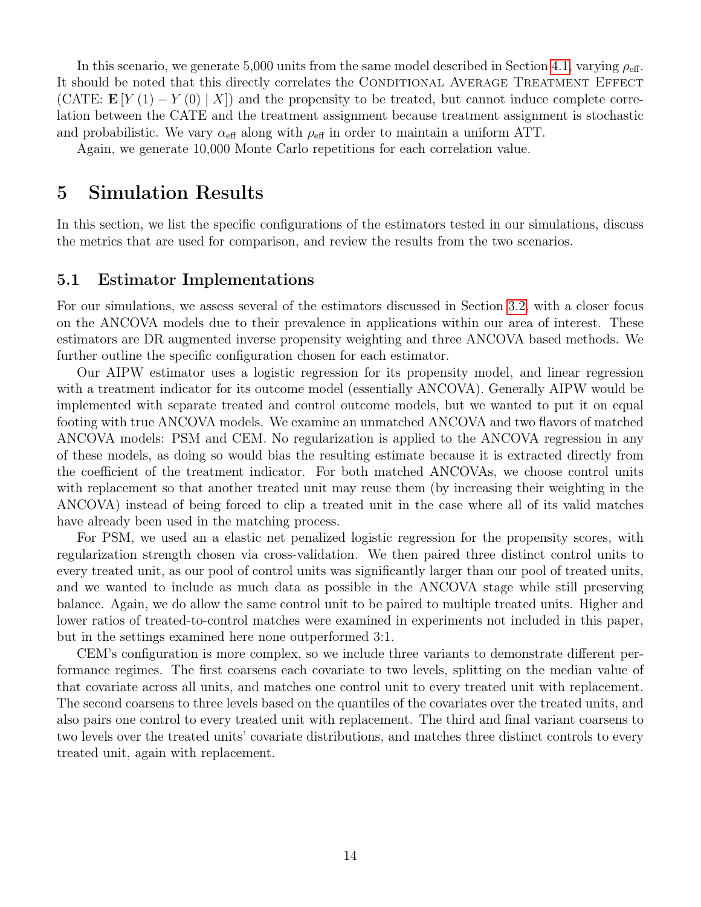In this scenario, we generate 5,000 units from the same model described in Section [4.1,](#page-10-0) varying  $\rho_{\text{eff}}$ . It should be noted that this directly correlates the CONDITIONAL AVERAGE TREATMENT EFFECT (CATE:  $\mathbf{E}[Y(1) - Y(0) | X]$ ) and the propensity to be treated, but cannot induce complete correlation between the CATE and the treatment assignment because treatment assignment is stochastic and probabilistic. We vary  $\alpha_{\text{eff}}$  along with  $\rho_{\text{eff}}$  in order to maintain a uniform ATT.

Again, we generate 10,000 Monte Carlo repetitions for each correlation value.

### 5 Simulation Results

In this section, we list the specific configurations of the estimators tested in our simulations, discuss the metrics that are used for comparison, and review the results from the two scenarios.

### 5.1 Estimator Implementations

For our simulations, we assess several of the estimators discussed in Section [3.2,](#page-5-0) with a closer focus on the ANCOVA models due to their prevalence in applications within our area of interest. These estimators are DR augmented inverse propensity weighting and three ANCOVA based methods. We further outline the specific configuration chosen for each estimator.

Our AIPW estimator uses a logistic regression for its propensity model, and linear regression with a treatment indicator for its outcome model (essentially ANCOVA). Generally AIPW would be implemented with separate treated and control outcome models, but we wanted to put it on equal footing with true ANCOVA models. We examine an unmatched ANCOVA and two flavors of matched ANCOVA models: PSM and CEM. No regularization is applied to the ANCOVA regression in any of these models, as doing so would bias the resulting estimate because it is extracted directly from the coefficient of the treatment indicator. For both matched ANCOVAs, we choose control units with replacement so that another treated unit may reuse them (by increasing their weighting in the ANCOVA) instead of being forced to clip a treated unit in the case where all of its valid matches have already been used in the matching process.

For PSM, we used an a elastic net penalized logistic regression for the propensity scores, with regularization strength chosen via cross-validation. We then paired three distinct control units to every treated unit, as our pool of control units was significantly larger than our pool of treated units, and we wanted to include as much data as possible in the ANCOVA stage while still preserving balance. Again, we do allow the same control unit to be paired to multiple treated units. Higher and lower ratios of treated-to-control matches were examined in experiments not included in this paper, but in the settings examined here none outperformed 3:1.

CEM's configuration is more complex, so we include three variants to demonstrate different performance regimes. The first coarsens each covariate to two levels, splitting on the median value of that covariate across all units, and matches one control unit to every treated unit with replacement. The second coarsens to three levels based on the quantiles of the covariates over the treated units, and also pairs one control to every treated unit with replacement. The third and final variant coarsens to two levels over the treated units' covariate distributions, and matches three distinct controls to every treated unit, again with replacement.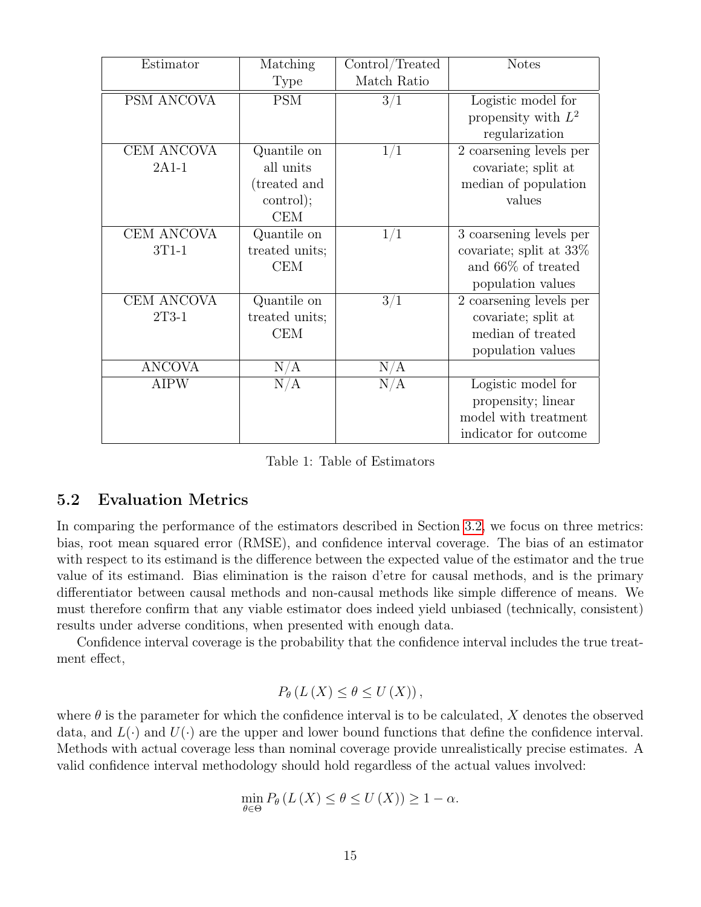| Estimator     | Matching       | Control/Treated | <b>Notes</b>               |
|---------------|----------------|-----------------|----------------------------|
|               | <b>Type</b>    | Match Ratio     |                            |
| PSM ANCOVA    | <b>PSM</b>     | 3/1             | Logistic model for         |
|               |                |                 | propensity with $L^2$      |
|               |                |                 | regularization             |
| CEM ANCOVA    | Quantile on    | 1/1             | 2 coarsening levels per    |
| $2A1-1$       | all units      |                 | covariate; split at        |
|               | (treated and   |                 | median of population       |
|               | control);      |                 | values                     |
|               | <b>CEM</b>     |                 |                            |
| CEM ANCOVA    | Quantile on    | 1/1             | 3 coarsening levels per    |
| $3T1-1$       | treated units; |                 | covariate; split at $33\%$ |
|               | <b>CEM</b>     |                 | and $66\%$ of treated      |
|               |                |                 | population values          |
| CEM ANCOVA    | Quantile on    | 3/1             | 2 coarsening levels per    |
| 2T3-1         | treated units; |                 | covariate; split at        |
|               | <b>CEM</b>     |                 | median of treated          |
|               |                |                 | population values          |
| <b>ANCOVA</b> | $\rm N/A$      | N/A             |                            |
| <b>AIPW</b>   | N/A            | N/A             | Logistic model for         |
|               |                |                 | propensity; linear         |
|               |                |                 | model with treatment       |
|               |                |                 | indicator for outcome      |

Table 1: Table of Estimators

### <span id="page-14-0"></span>5.2 Evaluation Metrics

In comparing the performance of the estimators described in Section [3.2,](#page-5-0) we focus on three metrics: bias, root mean squared error (RMSE), and confidence interval coverage. The bias of an estimator with respect to its estimand is the difference between the expected value of the estimator and the true value of its estimand. Bias elimination is the raison d'etre for causal methods, and is the primary differentiator between causal methods and non-causal methods like simple difference of means. We must therefore confirm that any viable estimator does indeed yield unbiased (technically, consistent) results under adverse conditions, when presented with enough data.

Confidence interval coverage is the probability that the confidence interval includes the true treatment effect,

$$
P_{\theta}(L(X) \leq \theta \leq U(X)),
$$

where  $\theta$  is the parameter for which the confidence interval is to be calculated, X denotes the observed data, and  $L(\cdot)$  and  $U(\cdot)$  are the upper and lower bound functions that define the confidence interval. Methods with actual coverage less than nominal coverage provide unrealistically precise estimates. A valid confidence interval methodology should hold regardless of the actual values involved:

$$
\min_{\theta \in \Theta} P_{\theta} \left( L \left( X \right) \le \theta \le U \left( X \right) \right) \ge 1 - \alpha.
$$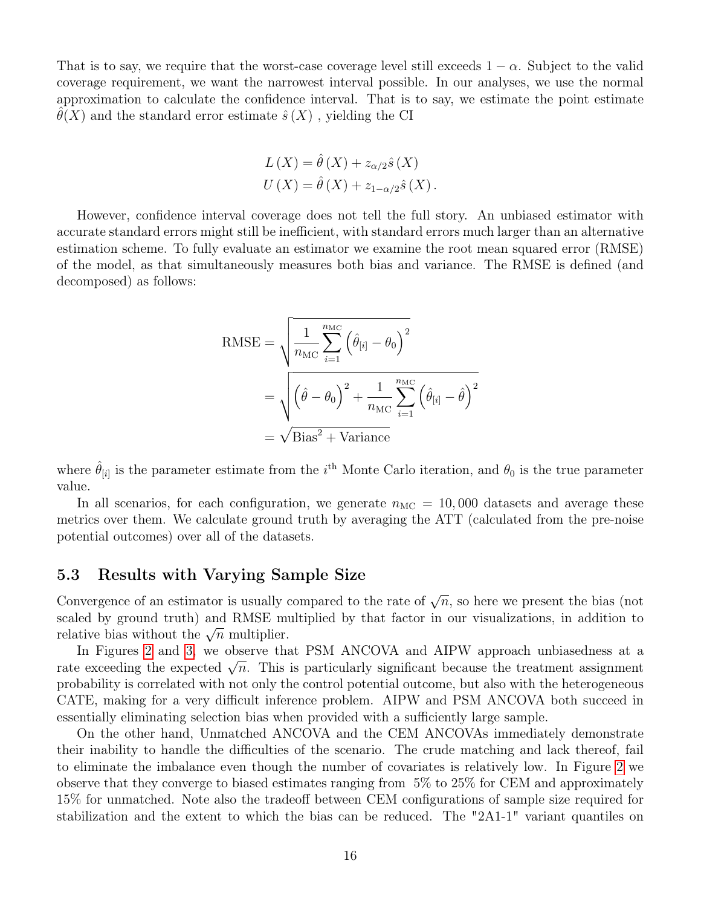That is to say, we require that the worst-case coverage level still exceeds  $1 - \alpha$ . Subject to the valid coverage requirement, we want the narrowest interval possible. In our analyses, we use the normal approximation to calculate the confidence interval. That is to say, we estimate the point estimate  $\theta(X)$  and the standard error estimate  $\hat{s}(X)$ , yielding the CI

$$
L(X) = \hat{\theta}(X) + z_{\alpha/2}\hat{s}(X)
$$
  
 
$$
U(X) = \hat{\theta}(X) + z_{1-\alpha/2}\hat{s}(X).
$$

However, confidence interval coverage does not tell the full story. An unbiased estimator with accurate standard errors might still be inefficient, with standard errors much larger than an alternative estimation scheme. To fully evaluate an estimator we examine the root mean squared error (RMSE) of the model, as that simultaneously measures both bias and variance. The RMSE is defined (and decomposed) as follows:

RMSE = 
$$
\sqrt{\frac{1}{n_{\text{MC}}} \sum_{i=1}^{n_{\text{MC}}} (\hat{\theta}_{[i]} - \theta_0)^2}
$$

$$
= \sqrt{(\hat{\theta} - \theta_0)^2 + \frac{1}{n_{\text{MC}}} \sum_{i=1}^{n_{\text{MC}}} (\hat{\theta}_{[i]} - \hat{\theta})^2}
$$

$$
= \sqrt{\text{Bias}^2 + \text{Variance}}
$$

where  $\hat{\theta}_{[i]}$  is the parameter estimate from the *i*<sup>th</sup> Monte Carlo iteration, and  $\theta_0$  is the true parameter value.

In all scenarios, for each configuration, we generate  $n_{MC} = 10,000$  datasets and average these metrics over them. We calculate ground truth by averaging the ATT (calculated from the pre-noise potential outcomes) over all of the datasets.

### 5.3 Results with Varying Sample Size

Convergence of an estimator is usually compared to the rate of  $\sqrt{n}$ , so here we present the bias (not scaled by ground truth) and RMSE multiplied by that factor in our visualizations, in addition to scaled by ground truth) and KWSE interactive bias without the  $\sqrt{n}$  multiplier.

In Figures [2](#page-16-0) and [3,](#page-17-0) we observe that PSM ANCOVA and AIPW approach unbiasedness at a In Figures 2 and 3, we observe that I SM ANCOVA and AII W approach unbiasedness at a<br>rate exceeding the expected  $\sqrt{n}$ . This is particularly significant because the treatment assignment probability is correlated with not only the control potential outcome, but also with the heterogeneous CATE, making for a very difficult inference problem. AIPW and PSM ANCOVA both succeed in essentially eliminating selection bias when provided with a sufficiently large sample.

On the other hand, Unmatched ANCOVA and the CEM ANCOVAs immediately demonstrate their inability to handle the difficulties of the scenario. The crude matching and lack thereof, fail to eliminate the imbalance even though the number of covariates is relatively low. In Figure [2](#page-16-0) we observe that they converge to biased estimates ranging from 5% to 25% for CEM and approximately 15% for unmatched. Note also the tradeoff between CEM configurations of sample size required for stabilization and the extent to which the bias can be reduced. The "2A1-1" variant quantiles on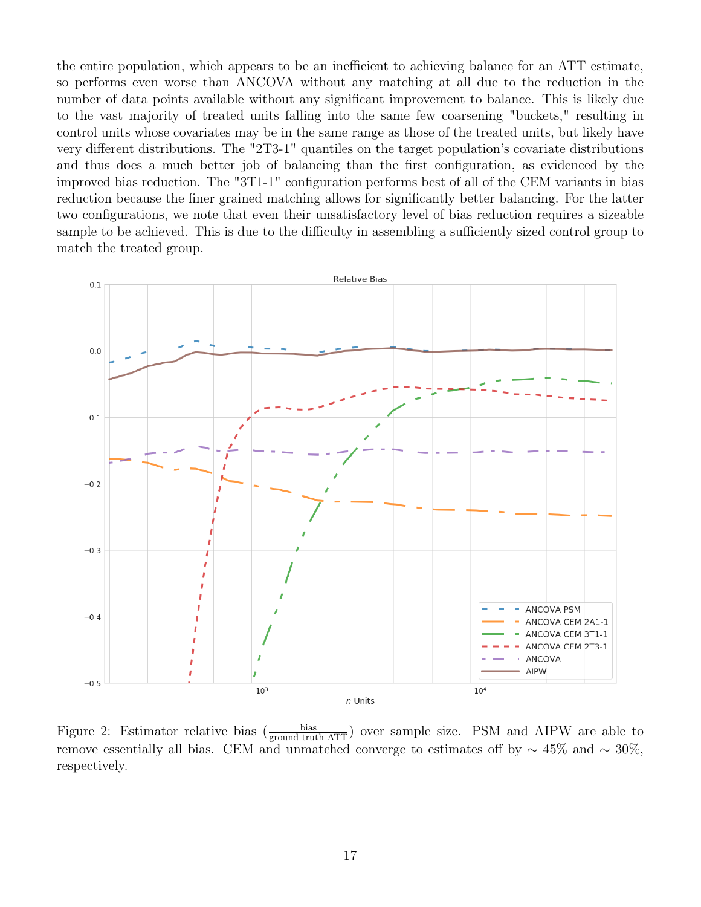the entire population, which appears to be an inefficient to achieving balance for an ATT estimate, so performs even worse than ANCOVA without any matching at all due to the reduction in the number of data points available without any significant improvement to balance. This is likely due to the vast majority of treated units falling into the same few coarsening "buckets," resulting in control units whose covariates may be in the same range as those of the treated units, but likely have very different distributions. The "2T3-1" quantiles on the target population's covariate distributions and thus does a much better job of balancing than the first configuration, as evidenced by the improved bias reduction. The "3T1-1" configuration performs best of all of the CEM variants in bias reduction because the finer grained matching allows for significantly better balancing. For the latter two configurations, we note that even their unsatisfactory level of bias reduction requires a sizeable sample to be achieved. This is due to the difficulty in assembling a sufficiently sized control group to match the treated group.



<span id="page-16-0"></span>Figure 2: Estimator relative bias  $\left(\frac{\text{bias}}{\text{ground truth ATT}}\right)$  over sample size. PSM and AIPW are able to remove essentially all bias. CEM and unmatched converge to estimates off by  $\sim 45\%$  and  $\sim 30\%$ , respectively.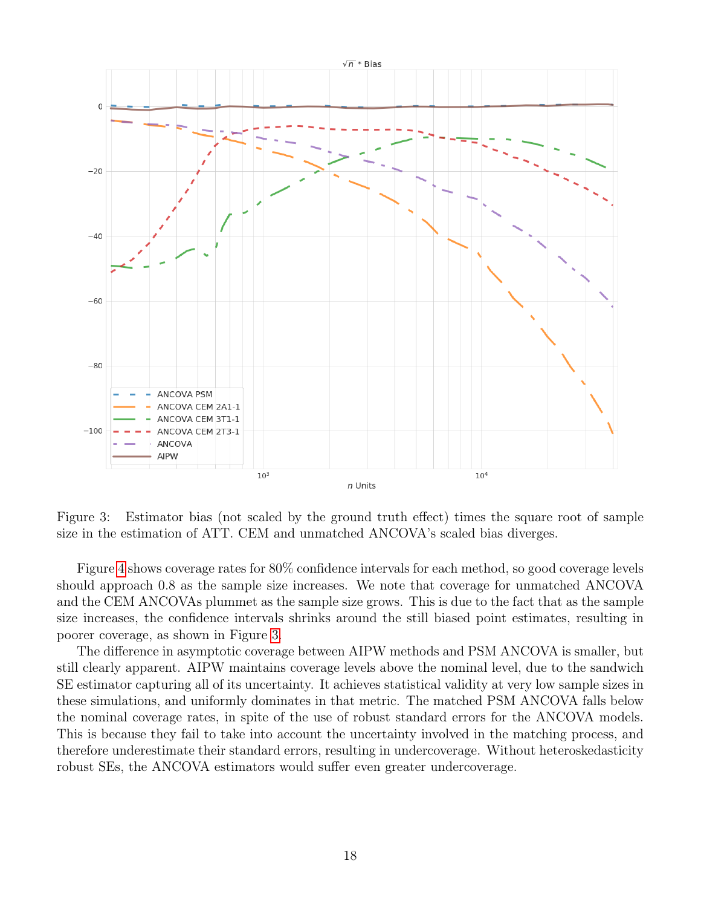

<span id="page-17-0"></span>Figure 3: Estimator bias (not scaled by the ground truth effect) times the square root of sample size in the estimation of ATT. CEM and unmatched ANCOVA's scaled bias diverges.

Figure [4](#page-18-0) shows coverage rates for 80% confidence intervals for each method, so good coverage levels should approach 0.8 as the sample size increases. We note that coverage for unmatched ANCOVA and the CEM ANCOVAs plummet as the sample size grows. This is due to the fact that as the sample size increases, the confidence intervals shrinks around the still biased point estimates, resulting in poorer coverage, as shown in Figure [3.](#page-17-0)

The difference in asymptotic coverage between AIPW methods and PSM ANCOVA is smaller, but still clearly apparent. AIPW maintains coverage levels above the nominal level, due to the sandwich SE estimator capturing all of its uncertainty. It achieves statistical validity at very low sample sizes in these simulations, and uniformly dominates in that metric. The matched PSM ANCOVA falls below the nominal coverage rates, in spite of the use of robust standard errors for the ANCOVA models. This is because they fail to take into account the uncertainty involved in the matching process, and therefore underestimate their standard errors, resulting in undercoverage. Without heteroskedasticity robust SEs, the ANCOVA estimators would suffer even greater undercoverage.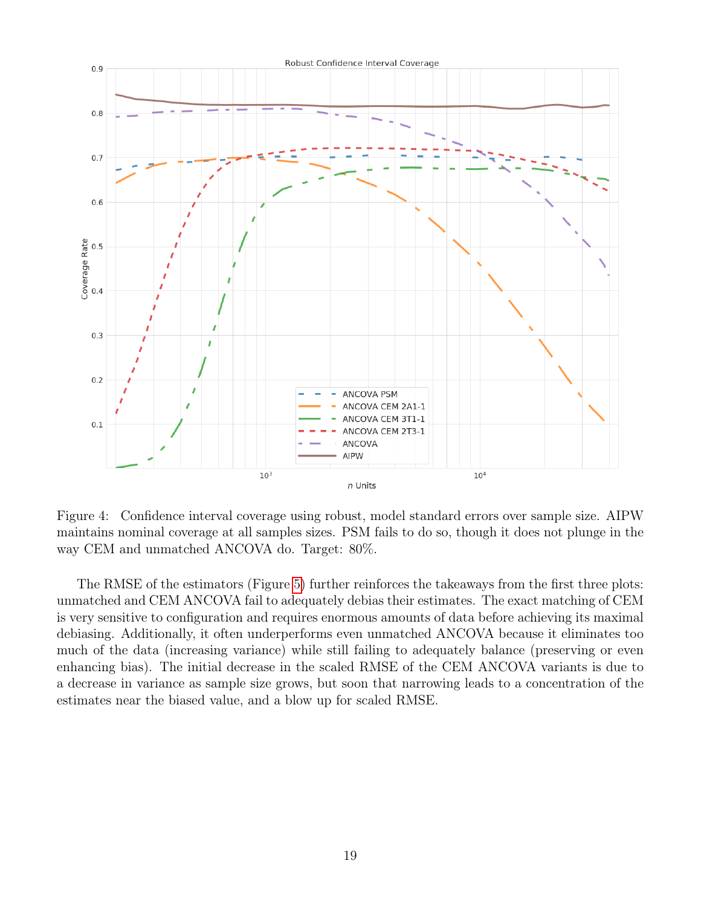

<span id="page-18-0"></span>Figure 4: Confidence interval coverage using robust, model standard errors over sample size. AIPW maintains nominal coverage at all samples sizes. PSM fails to do so, though it does not plunge in the way CEM and unmatched ANCOVA do. Target: 80%.

The RMSE of the estimators (Figure [5\)](#page-19-0) further reinforces the takeaways from the first three plots: unmatched and CEM ANCOVA fail to adequately debias their estimates. The exact matching of CEM is very sensitive to configuration and requires enormous amounts of data before achieving its maximal debiasing. Additionally, it often underperforms even unmatched ANCOVA because it eliminates too much of the data (increasing variance) while still failing to adequately balance (preserving or even enhancing bias). The initial decrease in the scaled RMSE of the CEM ANCOVA variants is due to a decrease in variance as sample size grows, but soon that narrowing leads to a concentration of the estimates near the biased value, and a blow up for scaled RMSE.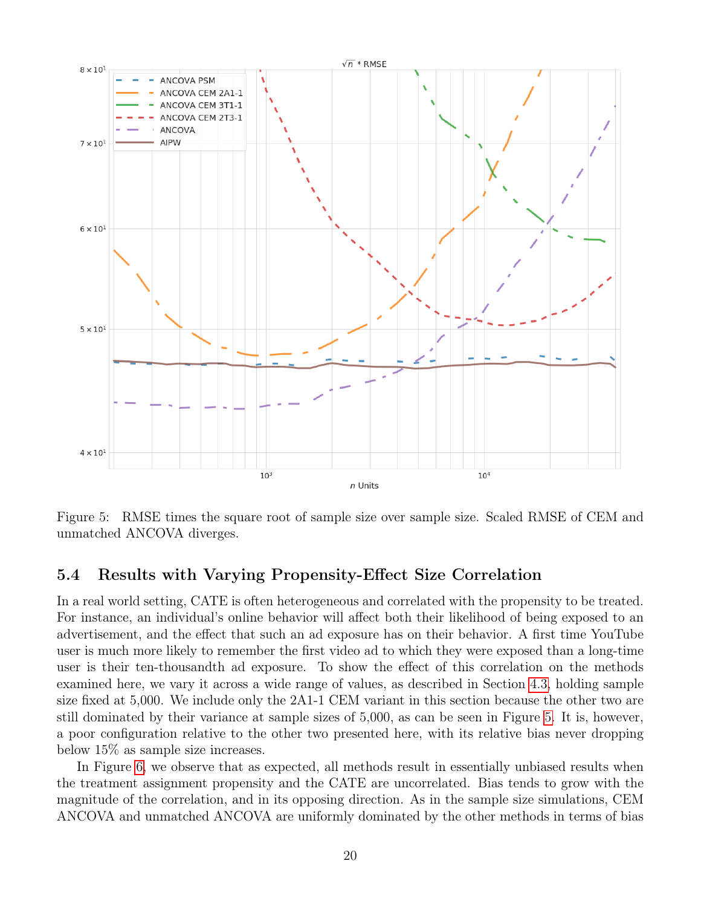

<span id="page-19-0"></span>Figure 5: RMSE times the square root of sample size over sample size. Scaled RMSE of CEM and unmatched ANCOVA diverges.

### 5.4 Results with Varying Propensity-Effect Size Correlation

In a real world setting, CATE is often heterogeneous and correlated with the propensity to be treated. For instance, an individual's online behavior will affect both their likelihood of being exposed to an advertisement, and the effect that such an ad exposure has on their behavior. A first time YouTube user is much more likely to remember the first video ad to which they were exposed than a long-time user is their ten-thousandth ad exposure. To show the effect of this correlation on the methods examined here, we vary it across a wide range of values, as described in Section [4.3,](#page-12-0) holding sample size fixed at 5,000. We include only the 2A1-1 CEM variant in this section because the other two are still dominated by their variance at sample sizes of 5,000, as can be seen in Figure [5.](#page-19-0) It is, however, a poor configuration relative to the other two presented here, with its relative bias never dropping below 15% as sample size increases.

In Figure [6,](#page-21-0) we observe that as expected, all methods result in essentially unbiased results when the treatment assignment propensity and the CATE are uncorrelated. Bias tends to grow with the magnitude of the correlation, and in its opposing direction. As in the sample size simulations, CEM ANCOVA and unmatched ANCOVA are uniformly dominated by the other methods in terms of bias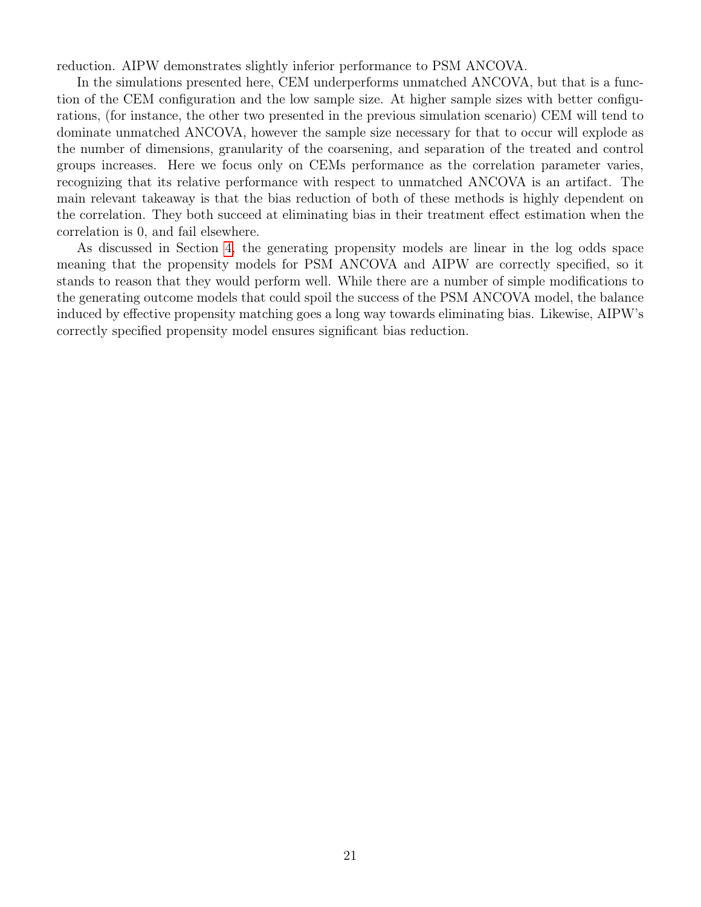reduction. AIPW demonstrates slightly inferior performance to PSM ANCOVA.

In the simulations presented here, CEM underperforms unmatched ANCOVA, but that is a function of the CEM configuration and the low sample size. At higher sample sizes with better configurations, (for instance, the other two presented in the previous simulation scenario) CEM will tend to dominate unmatched ANCOVA, however the sample size necessary for that to occur will explode as the number of dimensions, granularity of the coarsening, and separation of the treated and control groups increases. Here we focus only on CEMs performance as the correlation parameter varies, recognizing that its relative performance with respect to unmatched ANCOVA is an artifact. The main relevant takeaway is that the bias reduction of both of these methods is highly dependent on the correlation. They both succeed at eliminating bias in their treatment effect estimation when the correlation is 0, and fail elsewhere.

As discussed in Section [4,](#page-10-1) the generating propensity models are linear in the log odds space meaning that the propensity models for PSM ANCOVA and AIPW are correctly specified, so it stands to reason that they would perform well. While there are a number of simple modifications to the generating outcome models that could spoil the success of the PSM ANCOVA model, the balance induced by effective propensity matching goes a long way towards eliminating bias. Likewise, AIPW's correctly specified propensity model ensures significant bias reduction.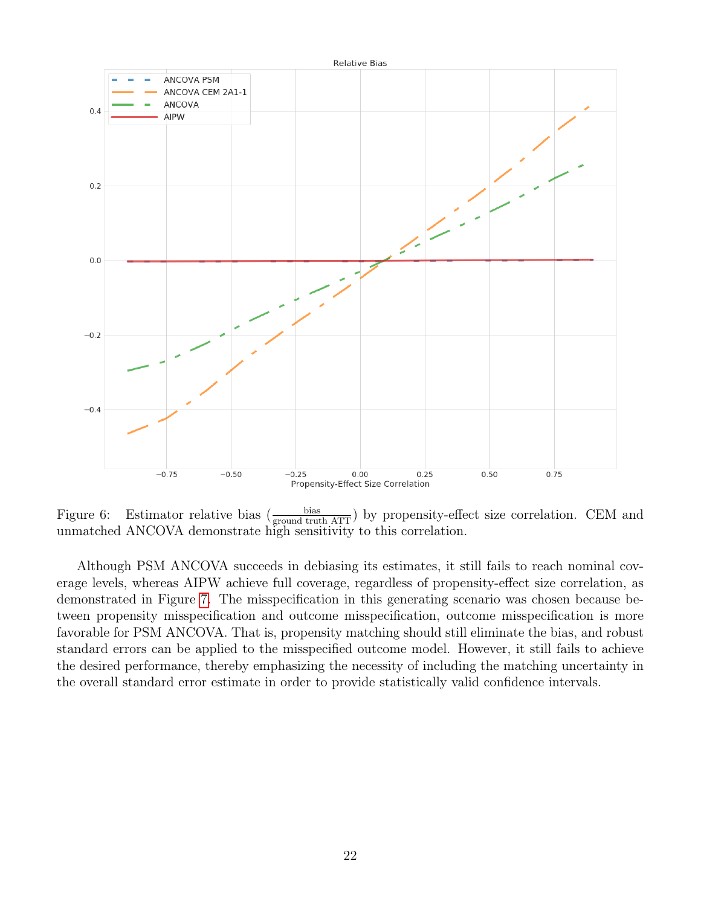

<span id="page-21-0"></span>Figure 6: Estimator relative bias  $\left(\frac{\text{bias}}{\text{ground truth ATT}}\right)$  by propensity-effect size correlation. CEM and unmatched ANCOVA demonstrate high sensitivity to this correlation.

Although PSM ANCOVA succeeds in debiasing its estimates, it still fails to reach nominal coverage levels, whereas AIPW achieve full coverage, regardless of propensity-effect size correlation, as demonstrated in Figure [7.](#page-22-0) The misspecification in this generating scenario was chosen because between propensity misspecification and outcome misspecification, outcome misspecification is more favorable for PSM ANCOVA. That is, propensity matching should still eliminate the bias, and robust standard errors can be applied to the misspecified outcome model. However, it still fails to achieve the desired performance, thereby emphasizing the necessity of including the matching uncertainty in the overall standard error estimate in order to provide statistically valid confidence intervals.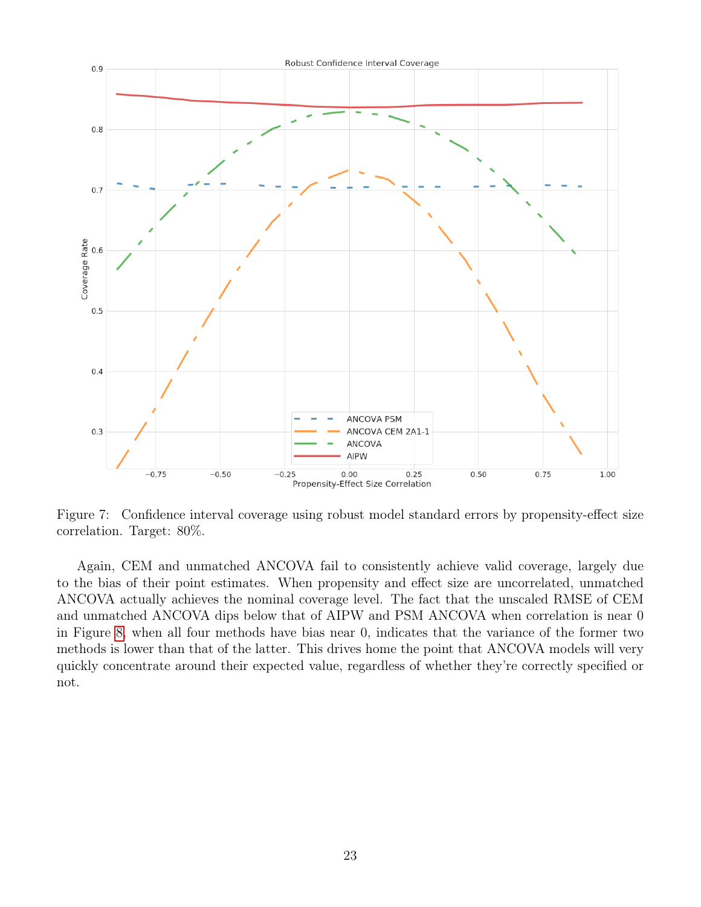

<span id="page-22-0"></span>Figure 7: Confidence interval coverage using robust model standard errors by propensity-effect size correlation. Target: 80%.

Again, CEM and unmatched ANCOVA fail to consistently achieve valid coverage, largely due to the bias of their point estimates. When propensity and effect size are uncorrelated, unmatched ANCOVA actually achieves the nominal coverage level. The fact that the unscaled RMSE of CEM and unmatched ANCOVA dips below that of AIPW and PSM ANCOVA when correlation is near 0 in Figure [8,](#page-23-0) when all four methods have bias near 0, indicates that the variance of the former two methods is lower than that of the latter. This drives home the point that ANCOVA models will very quickly concentrate around their expected value, regardless of whether they're correctly specified or not.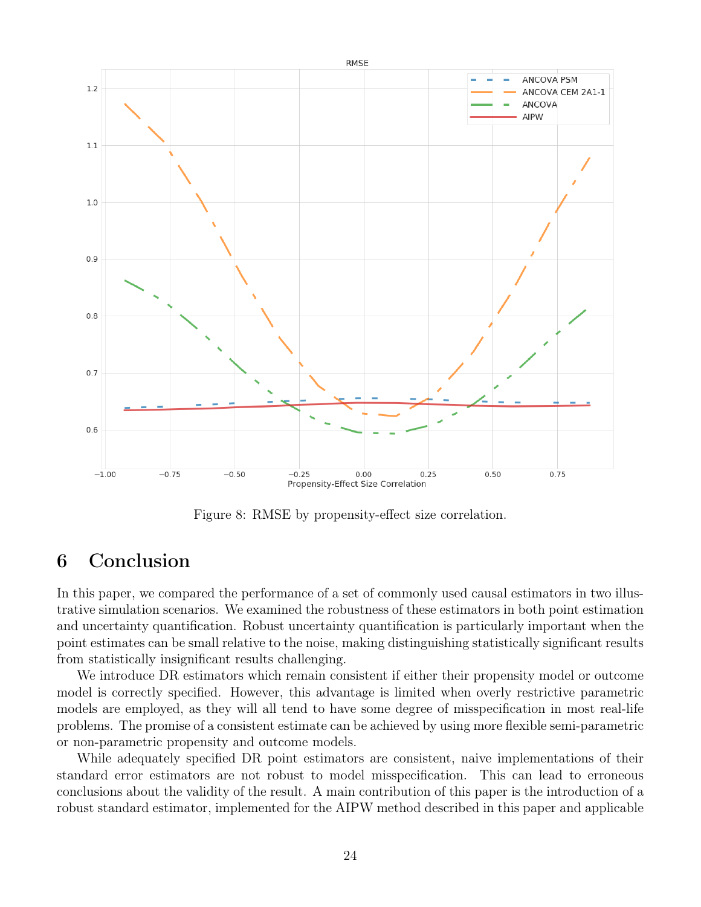

<span id="page-23-0"></span>Figure 8: RMSE by propensity-effect size correlation.

# 6 Conclusion

In this paper, we compared the performance of a set of commonly used causal estimators in two illustrative simulation scenarios. We examined the robustness of these estimators in both point estimation and uncertainty quantification. Robust uncertainty quantification is particularly important when the point estimates can be small relative to the noise, making distinguishing statistically significant results from statistically insignificant results challenging.

We introduce DR estimators which remain consistent if either their propensity model or outcome model is correctly specified. However, this advantage is limited when overly restrictive parametric models are employed, as they will all tend to have some degree of misspecification in most real-life problems. The promise of a consistent estimate can be achieved by using more flexible semi-parametric or non-parametric propensity and outcome models.

While adequately specified DR point estimators are consistent, naive implementations of their standard error estimators are not robust to model misspecification. This can lead to erroneous conclusions about the validity of the result. A main contribution of this paper is the introduction of a robust standard estimator, implemented for the AIPW method described in this paper and applicable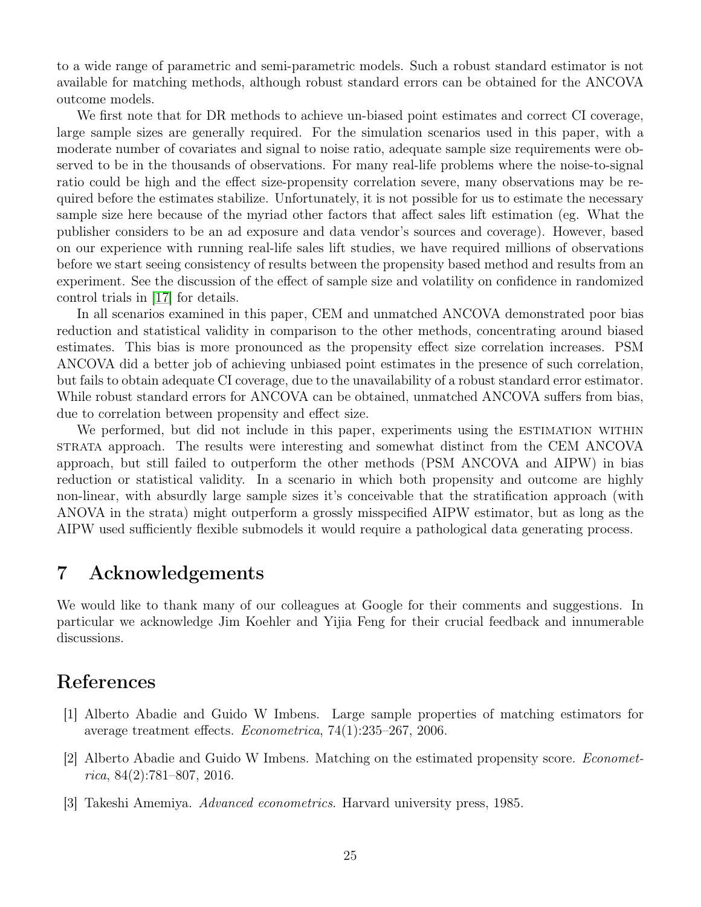to a wide range of parametric and semi-parametric models. Such a robust standard estimator is not available for matching methods, although robust standard errors can be obtained for the ANCOVA outcome models.

We first note that for DR methods to achieve un-biased point estimates and correct CI coverage, large sample sizes are generally required. For the simulation scenarios used in this paper, with a moderate number of covariates and signal to noise ratio, adequate sample size requirements were observed to be in the thousands of observations. For many real-life problems where the noise-to-signal ratio could be high and the effect size-propensity correlation severe, many observations may be required before the estimates stabilize. Unfortunately, it is not possible for us to estimate the necessary sample size here because of the myriad other factors that affect sales lift estimation (eg. What the publisher considers to be an ad exposure and data vendor's sources and coverage). However, based on our experience with running real-life sales lift studies, we have required millions of observations before we start seeing consistency of results between the propensity based method and results from an experiment. See the discussion of the effect of sample size and volatility on confidence in randomized control trials in [\[17\]](#page-25-16) for details.

In all scenarios examined in this paper, CEM and unmatched ANCOVA demonstrated poor bias reduction and statistical validity in comparison to the other methods, concentrating around biased estimates. This bias is more pronounced as the propensity effect size correlation increases. PSM ANCOVA did a better job of achieving unbiased point estimates in the presence of such correlation, but fails to obtain adequate CI coverage, due to the unavailability of a robust standard error estimator. While robust standard errors for ANCOVA can be obtained, unmatched ANCOVA suffers from bias, due to correlation between propensity and effect size.

We performed, but did not include in this paper, experiments using the ESTIMATION WITHIN strata approach. The results were interesting and somewhat distinct from the CEM ANCOVA approach, but still failed to outperform the other methods (PSM ANCOVA and AIPW) in bias reduction or statistical validity. In a scenario in which both propensity and outcome are highly non-linear, with absurdly large sample sizes it's conceivable that the stratification approach (with ANOVA in the strata) might outperform a grossly misspecified AIPW estimator, but as long as the AIPW used sufficiently flexible submodels it would require a pathological data generating process.

# 7 Acknowledgements

We would like to thank many of our colleagues at Google for their comments and suggestions. In particular we acknowledge Jim Koehler and Yijia Feng for their crucial feedback and innumerable discussions.

# References

- <span id="page-24-1"></span>[1] Alberto Abadie and Guido W Imbens. Large sample properties of matching estimators for average treatment effects. Econometrica, 74(1):235–267, 2006.
- <span id="page-24-0"></span>[2] Alberto Abadie and Guido W Imbens. Matching on the estimated propensity score. Economet $rica, 84(2):781-807, 2016.$
- <span id="page-24-2"></span>[3] Takeshi Amemiya. Advanced econometrics. Harvard university press, 1985.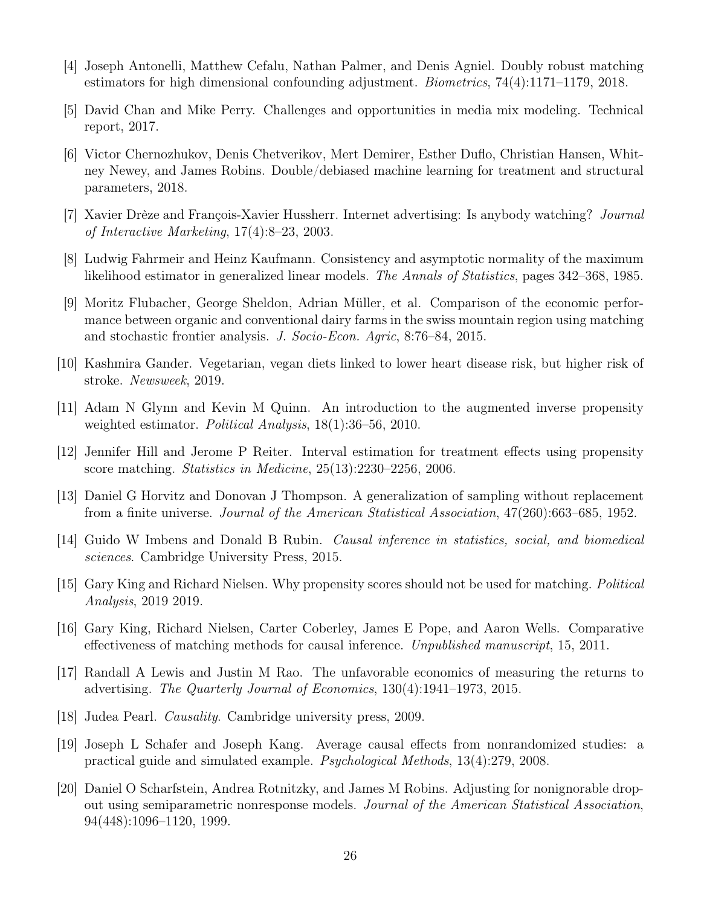- <span id="page-25-14"></span>[4] Joseph Antonelli, Matthew Cefalu, Nathan Palmer, and Denis Agniel. Doubly robust matching estimators for high dimensional confounding adjustment. Biometrics, 74(4):1171–1179, 2018.
- <span id="page-25-0"></span>[5] David Chan and Mike Perry. Challenges and opportunities in media mix modeling. Technical report, 2017.
- <span id="page-25-13"></span>[6] Victor Chernozhukov, Denis Chetverikov, Mert Demirer, Esther Duflo, Christian Hansen, Whitney Newey, and James Robins. Double/debiased machine learning for treatment and structural parameters, 2018.
- <span id="page-25-2"></span>[7] Xavier Drèze and François-Xavier Hussherr. Internet advertising: Is anybody watching? Journal of Interactive Marketing, 17(4):8–23, 2003.
- <span id="page-25-15"></span>[8] Ludwig Fahrmeir and Heinz Kaufmann. Consistency and asymptotic normality of the maximum likelihood estimator in generalized linear models. The Annals of Statistics, pages 342–368, 1985.
- <span id="page-25-7"></span>[9] Moritz Flubacher, George Sheldon, Adrian Müller, et al. Comparison of the economic performance between organic and conventional dairy farms in the swiss mountain region using matching and stochastic frontier analysis. J. Socio-Econ. Agric, 8:76–84, 2015.
- <span id="page-25-6"></span>[10] Kashmira Gander. Vegetarian, vegan diets linked to lower heart disease risk, but higher risk of stroke. Newsweek, 2019.
- <span id="page-25-12"></span>[11] Adam N Glynn and Kevin M Quinn. An introduction to the augmented inverse propensity weighted estimator. Political Analysis, 18(1):36–56, 2010.
- <span id="page-25-8"></span>[12] Jennifer Hill and Jerome P Reiter. Interval estimation for treatment effects using propensity score matching. Statistics in Medicine, 25(13):2230–2256, 2006.
- <span id="page-25-11"></span>[13] Daniel G Horvitz and Donovan J Thompson. A generalization of sampling without replacement from a finite universe. Journal of the American Statistical Association, 47(260):663–685, 1952.
- <span id="page-25-3"></span>[14] Guido W Imbens and Donald B Rubin. Causal inference in statistics, social, and biomedical sciences. Cambridge University Press, 2015.
- <span id="page-25-5"></span>[15] Gary King and Richard Nielsen. Why propensity scores should not be used for matching. Political Analysis, 2019 2019.
- <span id="page-25-9"></span>[16] Gary King, Richard Nielsen, Carter Coberley, James E Pope, and Aaron Wells. Comparative effectiveness of matching methods for causal inference. Unpublished manuscript, 15, 2011.
- <span id="page-25-16"></span>[17] Randall A Lewis and Justin M Rao. The unfavorable economics of measuring the returns to advertising. The Quarterly Journal of Economics, 130(4):1941–1973, 2015.
- <span id="page-25-1"></span>[18] Judea Pearl. Causality. Cambridge university press, 2009.
- <span id="page-25-4"></span>[19] Joseph L Schafer and Joseph Kang. Average causal effects from nonrandomized studies: a practical guide and simulated example. Psychological Methods, 13(4):279, 2008.
- <span id="page-25-10"></span>[20] Daniel O Scharfstein, Andrea Rotnitzky, and James M Robins. Adjusting for nonignorable dropout using semiparametric nonresponse models. Journal of the American Statistical Association, 94(448):1096–1120, 1999.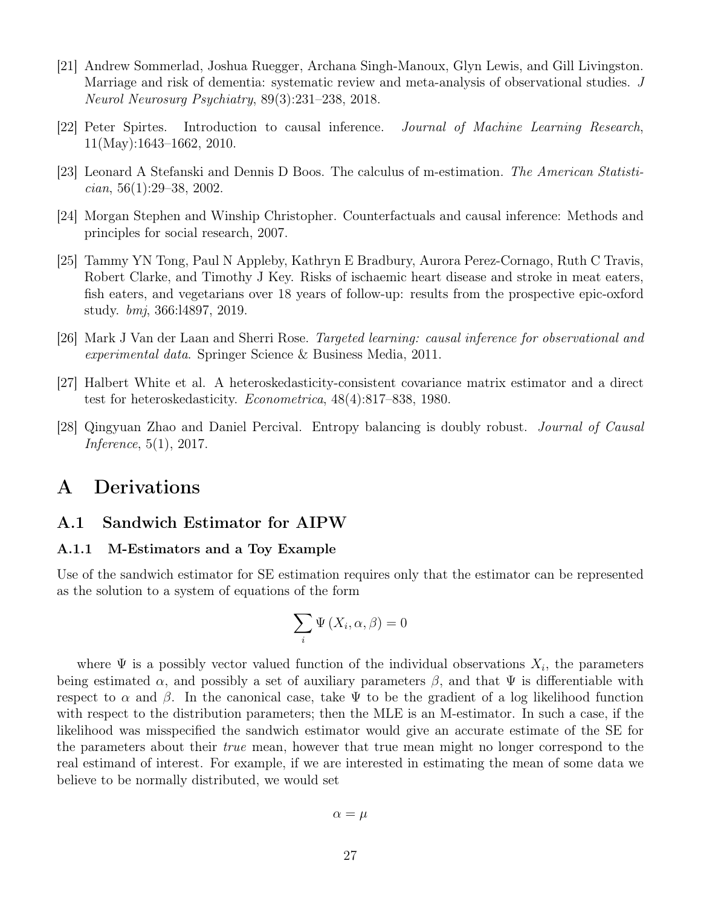- <span id="page-26-3"></span>[21] Andrew Sommerlad, Joshua Ruegger, Archana Singh-Manoux, Glyn Lewis, and Gill Livingston. Marriage and risk of dementia: systematic review and meta-analysis of observational studies. J Neurol Neurosurg Psychiatry, 89(3):231–238, 2018.
- <span id="page-26-0"></span>[22] Peter Spirtes. Introduction to causal inference. Journal of Machine Learning Research, 11(May):1643–1662, 2010.
- <span id="page-26-7"></span>[23] Leonard A Stefanski and Dennis D Boos. The calculus of m-estimation. The American Statisti $cian, 56(1):29-38, 2002.$
- <span id="page-26-1"></span>[24] Morgan Stephen and Winship Christopher. Counterfactuals and causal inference: Methods and principles for social research, 2007.
- <span id="page-26-2"></span>[25] Tammy YN Tong, Paul N Appleby, Kathryn E Bradbury, Aurora Perez-Cornago, Ruth C Travis, Robert Clarke, and Timothy J Key. Risks of ischaemic heart disease and stroke in meat eaters, fish eaters, and vegetarians over 18 years of follow-up: results from the prospective epic-oxford study. bmj, 366:l4897, 2019.
- <span id="page-26-5"></span>[26] Mark J Van der Laan and Sherri Rose. Targeted learning: causal inference for observational and experimental data. Springer Science & Business Media, 2011.
- <span id="page-26-4"></span>[27] Halbert White et al. A heteroskedasticity-consistent covariance matrix estimator and a direct test for heteroskedasticity. Econometrica, 48(4):817–838, 1980.
- <span id="page-26-6"></span>[28] Qingyuan Zhao and Daniel Percival. Entropy balancing is doubly robust. Journal of Causal Inference, 5(1), 2017.

### A Derivations

### <span id="page-26-8"></span>A.1 Sandwich Estimator for AIPW

### A.1.1 M-Estimators and a Toy Example

Use of the sandwich estimator for SE estimation requires only that the estimator can be represented as the solution to a system of equations of the form

$$
\sum_{i} \Psi\left(X_{i}, \alpha, \beta\right) = 0
$$

where  $\Psi$  is a possibly vector valued function of the individual observations  $X_i$ , the parameters being estimated  $\alpha$ , and possibly a set of auxiliary parameters  $\beta$ , and that  $\Psi$  is differentiable with respect to  $\alpha$  and  $\beta$ . In the canonical case, take  $\Psi$  to be the gradient of a log likelihood function with respect to the distribution parameters; then the MLE is an M-estimator. In such a case, if the likelihood was misspecified the sandwich estimator would give an accurate estimate of the SE for the parameters about their true mean, however that true mean might no longer correspond to the real estimand of interest. For example, if we are interested in estimating the mean of some data we believe to be normally distributed, we would set

$$
\alpha = \mu
$$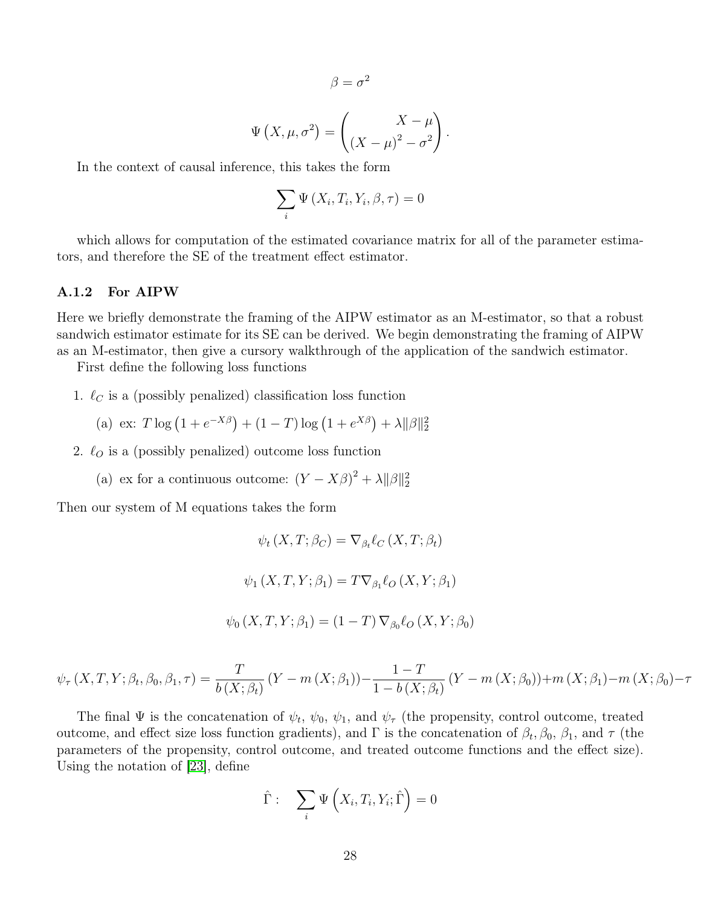$$
\beta = \sigma^2
$$

$$
\Psi\left(X,\mu,\sigma^2\right) = \begin{pmatrix} X - \mu \\ \left(X - \mu\right)^2 - \sigma^2 \end{pmatrix}.
$$

In the context of causal inference, this takes the form

$$
\sum_{i} \Psi\left(X_{i}, T_{i}, Y_{i}, \beta, \tau\right) = 0
$$

which allows for computation of the estimated covariance matrix for all of the parameter estimators, and therefore the SE of the treatment effect estimator.

#### A.1.2 For AIPW

Here we briefly demonstrate the framing of the AIPW estimator as an M-estimator, so that a robust sandwich estimator estimate for its SE can be derived. We begin demonstrating the framing of AIPW as an M-estimator, then give a cursory walkthrough of the application of the sandwich estimator.

First define the following loss functions

1.  $\ell_C$  is a (possibly penalized) classification loss function

(a) ex: 
$$
T \log (1 + e^{-X\beta}) + (1 - T) \log (1 + e^{X\beta}) + \lambda ||\beta||_2^2
$$

2.  $\ell_o$  is a (possibly penalized) outcome loss function

(a) ex for a continuous outcome:  $(Y - X\beta)^2 + \lambda ||\beta||_2^2$ 

Then our system of M equations takes the form

$$
\psi_t(X, T; \beta_C) = \nabla_{\beta_t} \ell_C(X, T; \beta_t)
$$

$$
\psi_1(X, T, Y; \beta_1) = T \nabla_{\beta_1} \ell_O(X, Y; \beta_1)
$$

$$
\psi_0(X, T, Y; \beta_1) = (1 - T) \nabla_{\beta_0} \ell_O(X, Y; \beta_0)
$$

$$
\psi_{\tau}(X, T, Y; \beta_t, \beta_0, \beta_1, \tau) = \frac{T}{b(X; \beta_t)} (Y - m(X; \beta_1)) - \frac{1 - T}{1 - b(X; \beta_t)} (Y - m(X; \beta_0)) + m(X; \beta_1) - m(X; \beta_0) - \tau(X; \beta_1) - m(X; \beta_0)
$$

The final  $\Psi$  is the concatenation of  $\psi_t$ ,  $\psi_0$ ,  $\psi_1$ , and  $\psi_\tau$  (the propensity, control outcome, treated outcome, and effect size loss function gradients), and  $\Gamma$  is the concatenation of  $\beta_t$ ,  $\beta_0$ ,  $\beta_1$ , and  $\tau$  (the parameters of the propensity, control outcome, and treated outcome functions and the effect size). Using the notation of [\[23\]](#page-26-7), define

$$
\hat{\Gamma} : \quad \sum_{i} \Psi \left( X_i, T_i, Y_i; \hat{\Gamma} \right) = 0
$$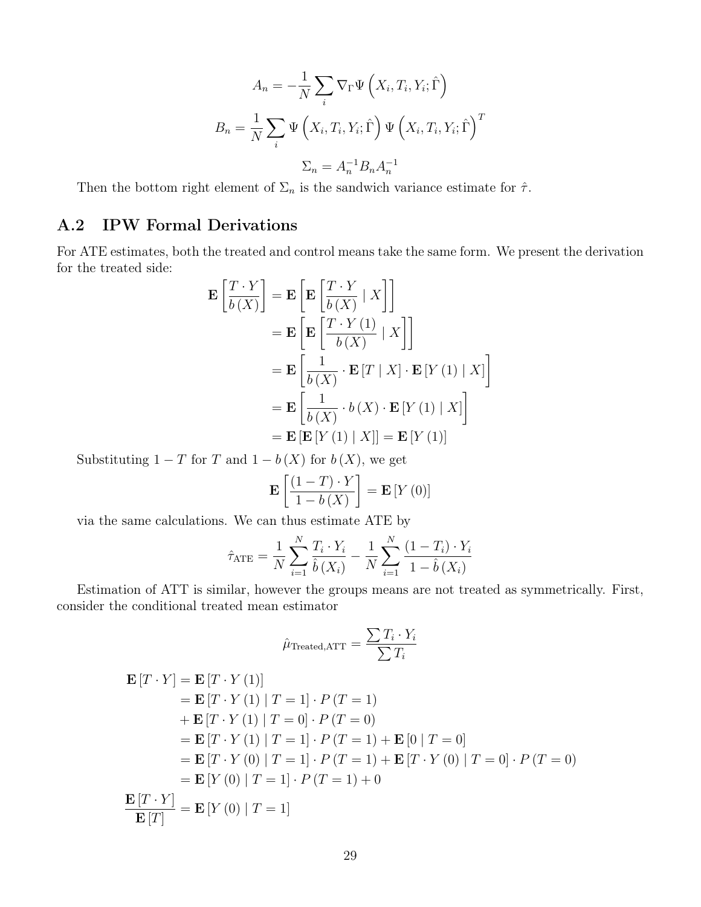$$
A_n = -\frac{1}{N} \sum_i \nabla_{\Gamma} \Psi \left( X_i, T_i, Y_i; \hat{\Gamma} \right)
$$

$$
B_n = \frac{1}{N} \sum_i \Psi \left( X_i, T_i, Y_i; \hat{\Gamma} \right) \Psi \left( X_i, T_i, Y_i; \hat{\Gamma} \right)^T
$$

$$
\Sigma_n = A_n^{-1} B_n A_n^{-1}
$$

Then the bottom right element of  $\Sigma_n$  is the sandwich variance estimate for  $\hat{\tau}$ .

### A.2 IPW Formal Derivations

For ATE estimates, both the treated and control means take the same form. We present the derivation for the treated side:

$$
\mathbf{E}\left[\frac{T \cdot Y}{b(X)}\right] = \mathbf{E}\left[\mathbf{E}\left[\frac{T \cdot Y}{b(X)} \mid X\right]\right]
$$

$$
= \mathbf{E}\left[\mathbf{E}\left[\frac{T \cdot Y(1)}{b(X)} \mid X\right]\right]
$$

$$
= \mathbf{E}\left[\frac{1}{b(X)} \cdot \mathbf{E}[T \mid X] \cdot \mathbf{E}[Y(1) \mid X]\right]
$$

$$
= \mathbf{E}\left[\frac{1}{b(X)} \cdot b(X) \cdot \mathbf{E}[Y(1) \mid X]\right]
$$

$$
= \mathbf{E}\left[\mathbf{E}[Y(1) \mid X]\right] = \mathbf{E}[Y(1)]
$$

Substituting  $1 - T$  for T and  $1 - b(X)$  for  $b(X)$ , we get

$$
\mathbf{E}\left[\frac{(1-T)\cdot Y}{1-b\left(X\right)}\right] = \mathbf{E}\left[Y\left(0\right)\right]
$$

via the same calculations. We can thus estimate ATE by

$$
\hat{\tau}_{\text{ATE}} = \frac{1}{N} \sum_{i=1}^{N} \frac{T_i \cdot Y_i}{\hat{b}(X_i)} - \frac{1}{N} \sum_{i=1}^{N} \frac{(1 - T_i) \cdot Y_i}{1 - \hat{b}(X_i)}
$$

Estimation of ATT is similar, however the groups means are not treated as symmetrically. First, consider the conditional treated mean estimator

$$
\hat{\mu}_{\text{Treated,ATT}} = \frac{\sum T_i \cdot Y_i}{\sum T_i}
$$

$$
\begin{aligned}\n\mathbf{E}[T \cdot Y] &= \mathbf{E}[T \cdot Y(1)] \\
&= \mathbf{E}[T \cdot Y(1) \mid T = 1] \cdot P(T = 1) \\
&+ \mathbf{E}[T \cdot Y(1) \mid T = 0] \cdot P(T = 0) \\
&= \mathbf{E}[T \cdot Y(1) \mid T = 1] \cdot P(T = 1) + \mathbf{E}[0 \mid T = 0] \\
&= \mathbf{E}[T \cdot Y(0) \mid T = 1] \cdot P(T = 1) + \mathbf{E}[T \cdot Y(0) \mid T = 0] \cdot P(T = 0) \\
&= \mathbf{E}[Y(0) \mid T = 1] \cdot P(T = 1) + 0 \\
&= \mathbf{E}[T] \\
&= \mathbf{E}[Y(0) \mid T = 1]\n\end{aligned}
$$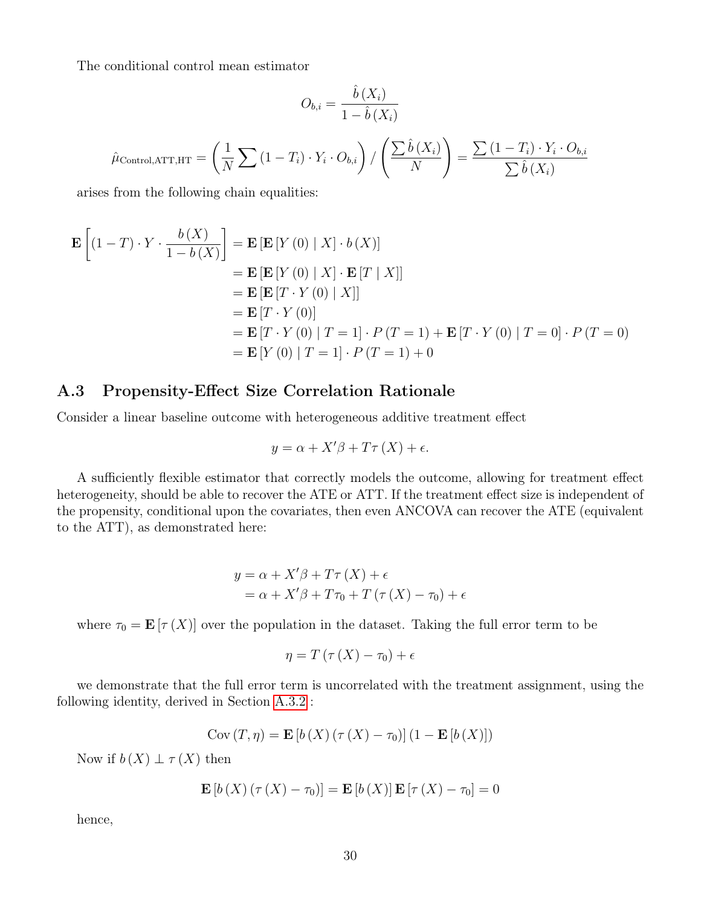The conditional control mean estimator

$$
O_{b,i} = \frac{\hat{b}(X_i)}{1 - \hat{b}(X_i)}
$$

$$
\hat{\mu}_{\text{Control,ATT,HT}} = \left(\frac{1}{N} \sum (1 - T_i) \cdot Y_i \cdot O_{b,i}\right) / \left(\frac{\sum \hat{b}(X_i)}{N}\right) = \frac{\sum (1 - T_i) \cdot Y_i \cdot O_{b,i}}{\sum \hat{b}(X_i)}
$$

arises from the following chain equalities:

$$
\mathbf{E}\left[(1-T)\cdot Y\cdot\frac{b(X)}{1-b(X)}\right] = \mathbf{E}\left[\mathbf{E}\left[Y\left(0\right) \mid X\right]\cdot b\left(X\right)\right]
$$
\n
$$
= \mathbf{E}\left[\mathbf{E}\left[Y\left(0\right) \mid X\right]\cdot\mathbf{E}\left[T \mid X\right]\right]
$$
\n
$$
= \mathbf{E}\left[\mathbf{E}\left[T\cdot Y\left(0\right) \mid X\right]\right]
$$
\n
$$
= \mathbf{E}\left[T\cdot Y\left(0\right)\right]
$$
\n
$$
= \mathbf{E}\left[T\cdot Y\left(0\right) \mid T=1\right]\cdot P\left(T=1\right) + \mathbf{E}\left[T\cdot Y\left(0\right) \mid T=0\right]\cdot P\left(T=0\right)
$$
\n
$$
= \mathbf{E}\left[Y\left(0\right) \mid T=1\right]\cdot P\left(T=1\right) + 0
$$

### <span id="page-29-0"></span>A.3 Propensity-Effect Size Correlation Rationale

Consider a linear baseline outcome with heterogeneous additive treatment effect

$$
y = \alpha + X'\beta + T\tau(X) + \epsilon.
$$

A sufficiently flexible estimator that correctly models the outcome, allowing for treatment effect heterogeneity, should be able to recover the ATE or ATT. If the treatment effect size is independent of the propensity, conditional upon the covariates, then even ANCOVA can recover the ATE (equivalent to the ATT), as demonstrated here:

$$
y = \alpha + X'\beta + T\tau(X) + \epsilon
$$
  
=  $\alpha + X'\beta + T\tau_0 + T(\tau(X) - \tau_0) + \epsilon$ 

where  $\tau_0 = \mathbf{E} [\tau(X)]$  over the population in the dataset. Taking the full error term to be

$$
\eta = T\left(\tau\left(X\right) - \tau_0\right) + \epsilon
$$

we demonstrate that the full error term is uncorrelated with the treatment assignment, using the following identity, derived in Section [A.3.2](#page-31-1) :

$$
Cov(T, \eta) = \mathbf{E}\left[b\left(X\right)\left(\tau\left(X\right) - \tau_0\right)\right]\left(1 - \mathbf{E}\left[b\left(X\right)\right]\right)
$$

Now if  $b(X) \perp \tau(X)$  then

$$
\mathbf{E}\left[b\left(X\right)\left(\tau\left(X\right)-\tau_0\right)\right]=\mathbf{E}\left[b\left(X\right)\right]\mathbf{E}\left[\tau\left(X\right)-\tau_0\right]=0
$$

hence,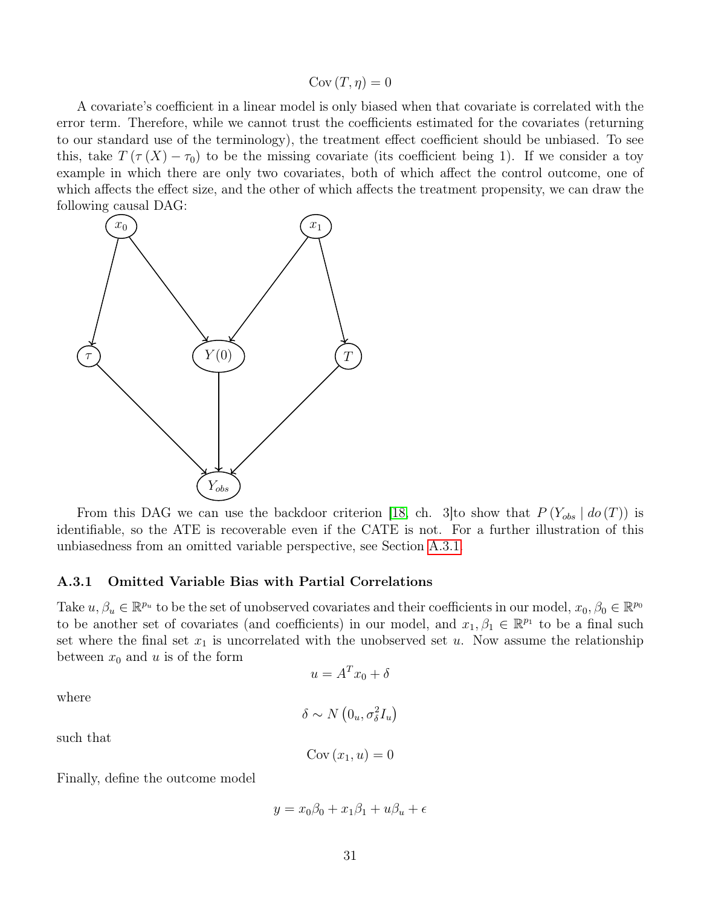#### $Cov(T, \eta) = 0$

A covariate's coefficient in a linear model is only biased when that covariate is correlated with the error term. Therefore, while we cannot trust the coefficients estimated for the covariates (returning to our standard use of the terminology), the treatment effect coefficient should be unbiased. To see this, take  $T(\tau(X) - \tau_0)$  to be the missing covariate (its coefficient being 1). If we consider a toy example in which there are only two covariates, both of which affect the control outcome, one of which affects the effect size, and the other of which affects the treatment propensity, we can draw the following causal DAG:



From this DAG we can use the backdoor criterion [\[18,](#page-25-1) ch. 3] to show that  $P(Y_{obs} | do(T))$  is identifiable, so the ATE is recoverable even if the CATE is not. For a further illustration of this unbiasedness from an omitted variable perspective, see Section [A.3.1.](#page-30-0)

#### <span id="page-30-0"></span>A.3.1 Omitted Variable Bias with Partial Correlations

Take  $u, \beta_u \in \mathbb{R}^{p_u}$  to be the set of unobserved covariates and their coefficients in our model,  $x_0, \beta_0 \in \mathbb{R}^{p_0}$ to be another set of covariates (and coefficients) in our model, and  $x_1, \beta_1 \in \mathbb{R}^{p_1}$  to be a final such set where the final set  $x_1$  is uncorrelated with the unobserved set u. Now assume the relationship between  $x_0$  and u is of the form

$$
u = A^T x_0 + \delta
$$

where

$$
\delta \sim N\left(0_u, \sigma_\delta^2 I_u\right)
$$

such that

$$
Cov(x_1, u) = 0
$$

Finally, define the outcome model

$$
y = x_0\beta_0 + x_1\beta_1 + u\beta_2 + \epsilon
$$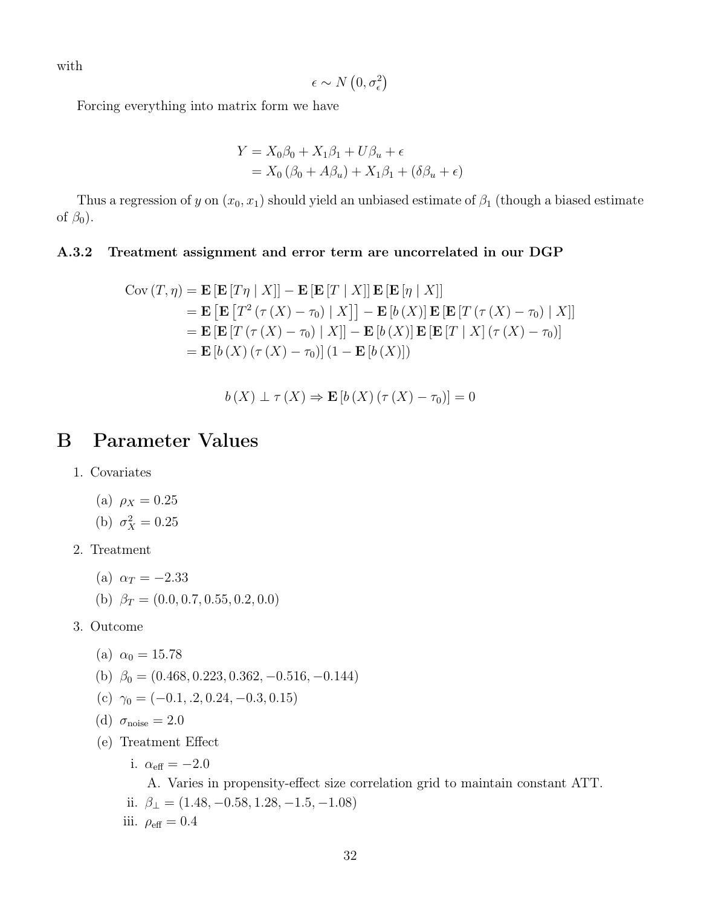with

$$
\epsilon \sim N\left(0, \sigma_{\epsilon}^{2}\right)
$$

Forcing everything into matrix form we have

$$
Y = X_0 \beta_0 + X_1 \beta_1 + U \beta_u + \epsilon
$$
  
=  $X_0 (\beta_0 + A \beta_u) + X_1 \beta_1 + (\delta \beta_u + \epsilon)$ 

Thus a regression of y on  $(x_0, x_1)$  should yield an unbiased estimate of  $\beta_1$  (though a biased estimate of  $\beta_0$ ).

#### <span id="page-31-1"></span>A.3.2 Treatment assignment and error term are uncorrelated in our DGP

$$
\begin{aligned} \text{Cov}(T,\eta) &= \mathbf{E} \left[ \mathbf{E} \left[ T\eta \mid X \right] \right] - \mathbf{E} \left[ \mathbf{E} \left[ T \mid X \right] \right] \mathbf{E} \left[ \mathbf{E} \left[ \eta \mid X \right] \right] \\ &= \mathbf{E} \left[ \mathbf{E} \left[ T^2 \left( \tau \left( X \right) - \tau_0 \right) \mid X \right] \right] - \mathbf{E} \left[ b \left( X \right) \right] \mathbf{E} \left[ \mathbf{E} \left[ T \left( \tau \left( X \right) - \tau_0 \right) \mid X \right] \right] \\ &= \mathbf{E} \left[ \mathbf{E} \left[ T \left( \tau \left( X \right) - \tau_0 \right) \mid X \right] \right] - \mathbf{E} \left[ b \left( X \right) \right] \mathbf{E} \left[ \mathbf{E} \left[ T \mid X \right] \left( \tau \left( X \right) - \tau_0 \right) \right] \\ &= \mathbf{E} \left[ b \left( X \right) \left( \tau \left( X \right) - \tau_0 \right) \right] \left( 1 - \mathbf{E} \left[ b \left( X \right) \right] \right) \end{aligned}
$$

$$
b(X) \perp \tau(X) \Rightarrow \mathbf{E}[b(X) (\tau(X) - \tau_0)] = 0
$$

# <span id="page-31-0"></span>B Parameter Values

- 1. Covariates
	- (a)  $\rho_X = 0.25$
	- (b)  $\sigma_X^2 = 0.25$
- 2. Treatment
	- (a)  $\alpha_T = -2.33$
	- (b)  $\beta_T = (0.0, 0.7, 0.55, 0.2, 0.0)$
- 3. Outcome
	- (a)  $\alpha_0 = 15.78$
	- (b)  $\beta_0 = (0.468, 0.223, 0.362, -0.516, -0.144)$
	- (c)  $\gamma_0 = (-0.1, 0.2, 0.24, -0.3, 0.15)$
	- (d)  $\sigma_{\text{noise}} = 2.0$
	- (e) Treatment Effect
		- i.  $\alpha_{\text{eff}} = -2.0$

A. Varies in propensity-effect size correlation grid to maintain constant ATT. ii.  $\beta_{\perp} = (1.48, -0.58, 1.28, -1.5, -1.08)$ iii.  $\rho_{\text{eff}} = 0.4$